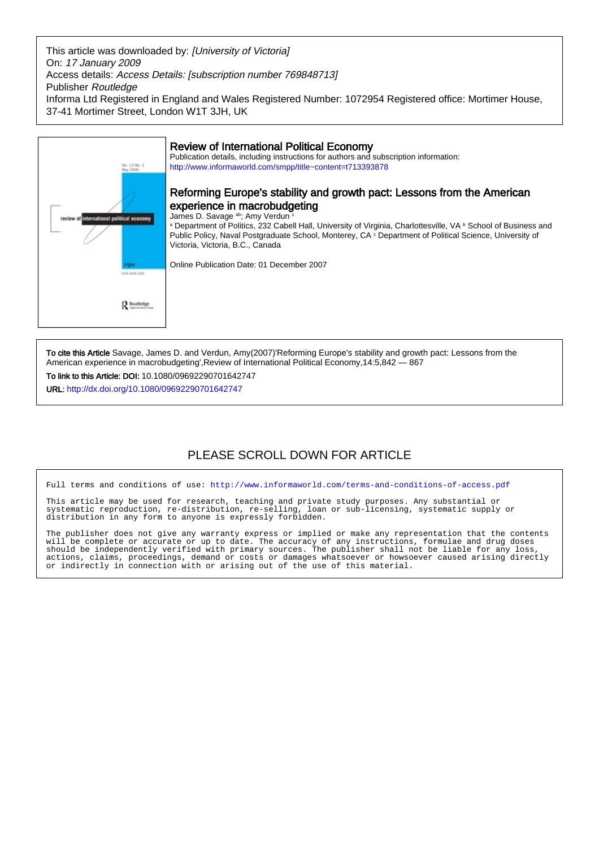This article was downloaded by: [University of Victoria] On: 17 January 2009 Access details: Access Details: [subscription number 769848713] Publisher Routledge Informa Ltd Registered in England and Wales Registered Number: 1072954 Registered office: Mortimer House, 37-41 Mortimer Street, London W1T 3JH, UK



To cite this Article Savage, James D. and Verdun, Amy(2007)'Reforming Europe's stability and growth pact: Lessons from the American experience in macrobudgeting',Review of International Political Economy,14:5,842 — 867

To link to this Article: DOI: 10.1080/09692290701642747

URL: <http://dx.doi.org/10.1080/09692290701642747>

# PLEASE SCROLL DOWN FOR ARTICLE

Full terms and conditions of use:<http://www.informaworld.com/terms-and-conditions-of-access.pdf>

This article may be used for research, teaching and private study purposes. Any substantial or systematic reproduction, re-distribution, re-selling, loan or sub-licensing, systematic supply or distribution in any form to anyone is expressly forbidden.

The publisher does not give any warranty express or implied or make any representation that the contents will be complete or accurate or up to date. The accuracy of any instructions, formulae and drug doses should be independently verified with primary sources. The publisher shall not be liable for any loss, actions, claims, proceedings, demand or costs or damages whatsoever or howsoever caused arising directly or indirectly in connection with or arising out of the use of this material.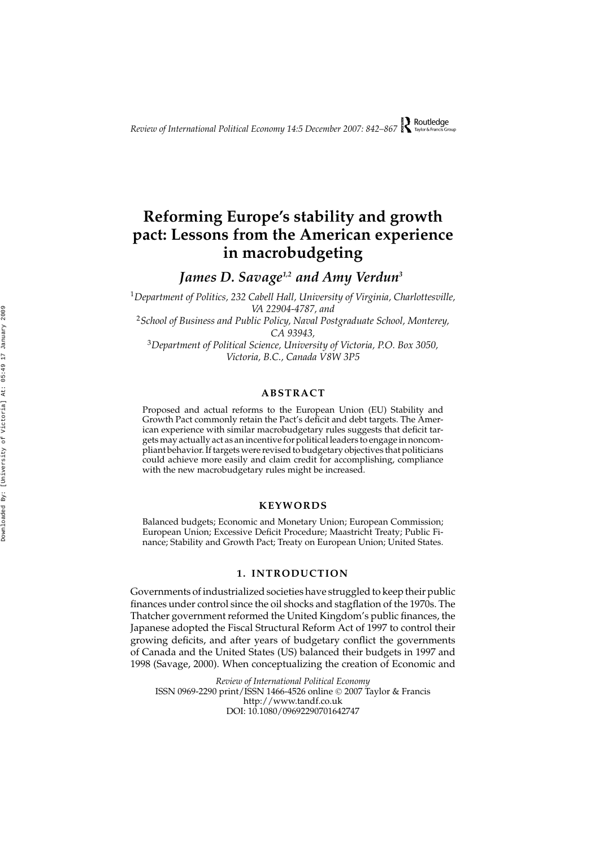# **Reforming Europe's stability and growth pact: Lessons from the American experience in macrobudgeting**

*James D. Savage1,2 and Amy Verdun 3*

<sup>1</sup>*Department of Politics, 232 Cabell Hall, University of Virginia, Charlottesville, VA 22904-4787, and*

<sup>2</sup>*School of Business and Public Policy, Naval Postgraduate School, Monterey, CA 93943,*

<sup>3</sup>*Department of Political Science, University of Victoria, P.O. Box 3050, Victoria, B.C., Canada V8W 3P5*

# **ABSTRACT**

Proposed and actual reforms to the European Union (EU) Stability and Growth Pact commonly retain the Pact's deficit and debt targets. The American experience with similar macrobudgetary rules suggests that deficit targets may actually act as an incentive for political leaders to engage in noncompliant behavior. If targets were revised to budgetary objectives that politicians could achieve more easily and claim credit for accomplishing, compliance with the new macrobudgetary rules might be increased.

#### **KEYWORDS**

Balanced budgets; Economic and Monetary Union; European Commission; European Union; Excessive Deficit Procedure; Maastricht Treaty; Public Finance; Stability and Growth Pact; Treaty on European Union; United States.

## **1. INTRODUCTION**

Governments of industrialized societies have struggled to keep their public finances under control since the oil shocks and stagflation of the 1970s. The Thatcher government reformed the United Kingdom's public finances, the Japanese adopted the Fiscal Structural Reform Act of 1997 to control their growing deficits, and after years of budgetary conflict the governments of Canada and the United States (US) balanced their budgets in 1997 and 1998 (Savage, 2000). When conceptualizing the creation of Economic and

*Review of International Political Economy* ISSN 0969-2290 print/ISSN 1466-4526 online <sup>C</sup> 2007 Taylor & Francis http://www.tandf.co.uk DOI: 10.1080/09692290701642747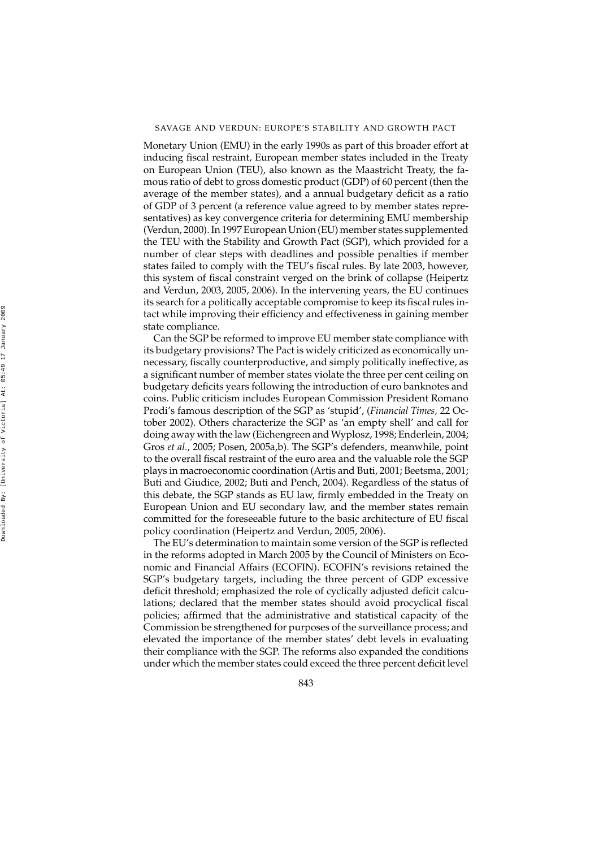Monetary Union (EMU) in the early 1990s as part of this broader effort at inducing fiscal restraint, European member states included in the Treaty on European Union (TEU), also known as the Maastricht Treaty, the famous ratio of debt to gross domestic product (GDP) of 60 percent (then the average of the member states), and a annual budgetary deficit as a ratio of GDP of 3 percent (a reference value agreed to by member states representatives) as key convergence criteria for determining EMU membership (Verdun, 2000). In 1997 European Union (EU) member states supplemented the TEU with the Stability and Growth Pact (SGP), which provided for a number of clear steps with deadlines and possible penalties if member states failed to comply with the TEU's fiscal rules. By late 2003, however, this system of fiscal constraint verged on the brink of collapse (Heipertz and Verdun, 2003, 2005, 2006). In the intervening years, the EU continues its search for a politically acceptable compromise to keep its fiscal rules intact while improving their efficiency and effectiveness in gaining member state compliance.

Can the SGP be reformed to improve EU member state compliance with its budgetary provisions? The Pact is widely criticized as economically unnecessary, fiscally counterproductive, and simply politically ineffective, as a significant number of member states violate the three per cent ceiling on budgetary deficits years following the introduction of euro banknotes and coins. Public criticism includes European Commission President Romano Prodi's famous description of the SGP as 'stupid', (*Financial Times,* 22 October 2002). Others characterize the SGP as 'an empty shell' and call for doing away with the law (Eichengreen and Wyplosz, 1998; Enderlein, 2004; Gros *et al.* , 2005; Posen, 2005a,b). The SGP's defenders, meanwhile, point to the overall fiscal restraint of the euro area and the valuable role the SGP plays in macroeconomic coordination (Artis and Buti, 2001; Beetsma, 2001; Buti and Giudice, 2002; Buti and Pench, 2004). Regardless of the status of this debate, the SGP stands as EU law, firmly embedded in the Treaty on European Union and EU secondary law, and the member states remain committed for the foreseeable future to the basic architecture of EU fiscal policy coordination (Heipertz and Verdun, 2005, 2006).

The EU's determination to maintain some version of the SGP is reflected in the reforms adopted in March 2005 by the Council of Ministers on Economic and Financial Affairs (ECOFIN). ECOFIN's revisions retained the SGP's budgetary targets, including the three percent of GDP excessive deficit threshold; emphasized the role of cyclically adjusted deficit calculations; declared that the member states should avoid procyclical fiscal policies; affirmed that the administrative and statistical capacity of the Commission be strengthened for purposes of the surveillance process; and elevated the importance of the member states' debt levels in evaluating their compliance with the SGP. The reforms also expanded the conditions under which the member states could exceed the three percent deficit level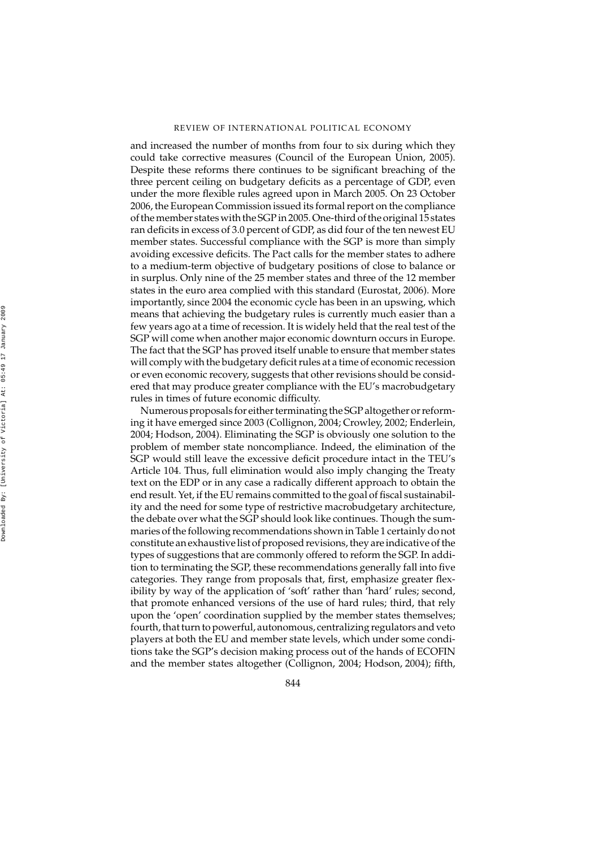## REVIEW OF INTERNATIONAL POLITICAL ECONOMY

and increased the number of months from four to six during which they could take corrective measures (Council of the European Union, 2005). Despite these reforms there continues to be significant breaching of the three percent ceiling on budgetary deficits as a percentage of GDP, even under the more flexible rules agreed upon in March 2005. On 23 October 2006, the European Commission issued its formal report on the compliance of the member states with the SGP in 2005. One-third of the original 15 states ran deficits in excess of 3.0 percent of GDP, as did four of the ten newest EU member states. Successful compliance with the SGP is more than simply avoiding excessive deficits. The Pact calls for the member states to adhere to a medium-term objective of budgetary positions of close to balance or in surplus. Only nine of the 25 member states and three of the 12 member states in the euro area complied with this standard (Eurostat, 2006). More importantly, since 2004 the economic cycle has been in an upswing, which means that achieving the budgetary rules is currently much easier than a few years ago at a time of recession. It is widely held that the real test of the SGP will come when another major economic downturn occurs in Europe. The fact that the SGP has proved itself unable to ensure that member states will comply with the budgetary deficit rules at a time of economic recession or even economic recovery, suggests that other revisions should be considered that may produce greater compliance with the EU's macrobudgetary rules in times of future economic difficulty.

Numerous proposals for either terminating the SGP altogether or reforming it have emerged since 2003 (Collignon, 2004; Crowley, 2002; Enderlein, 2004; Hodson, 2004). Eliminating the SGP is obviously one solution to the problem of member state noncompliance. Indeed, the elimination of the SGP would still leave the excessive deficit procedure intact in the TEU's Article 104. Thus, full elimination would also imply changing the Treaty text on the EDP or in any case a radically different approach to obtain the end result. Yet, if the EU remains committed to the goal of fiscal sustainability and the need for some type of restrictive macrobudgetary architecture, the debate over what the SGP should look like continues. Though the summaries of the following recommendations shown in Table 1 certainly do not constitute an exhaustive list of proposed revisions, they are indicative of the types of suggestions that are commonly offered to reform the SGP. In addition to terminating the SGP, these recommendations generally fall into five categories. They range from proposals that, first, emphasize greater flexibility by way of the application of 'soft' rather than 'hard' rules; second, that promote enhanced versions of the use of hard rules; third, that rely upon the 'open' coordination supplied by the member states themselves; fourth, that turn to powerful, autonomous, centralizing regulators and veto players at both the EU and member state levels, which under some conditions take the SGP's decision making process out of the hands of ECOFIN and the member states altogether (Collignon, 2004; Hodson, 2004); fifth,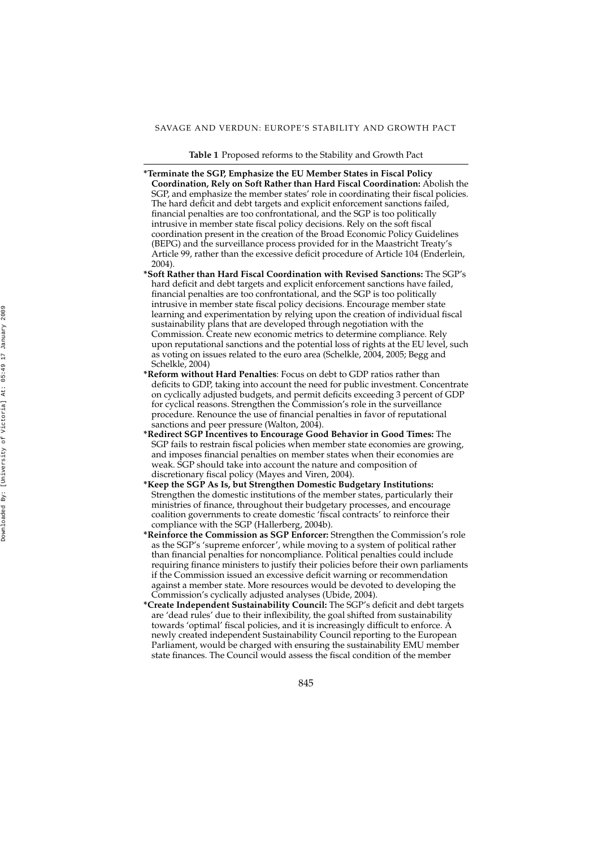**Table 1** Proposed reforms to the Stability and Growth Pact

- **\*Terminate the SGP, Emphasize the EU Member States in Fiscal Policy Coordination, Rely on Soft Rather than Hard Fiscal Coordination:** Abolish the SGP, and emphasize the member states' role in coordinating their fiscal policies. The hard deficit and debt targets and explicit enforcement sanctions failed, financial penalties are too confrontational, and the SGP is too politically intrusive in member state fiscal policy decisions. Rely on the soft fiscal coordination present in the creation of the Broad Economic Policy Guidelines (BEPG) and the surveillance process provided for in the Maastricht Treaty's Article 99, rather than the excessive deficit procedure of Article 104 (Enderlein, 2004).
- **\*Soft Rather than Hard Fiscal Coordination with Revised Sanctions:** The SGP's hard deficit and debt targets and explicit enforcement sanctions have failed, financial penalties are too confrontational, and the SGP is too politically intrusive in member state fiscal policy decisions. Encourage member state learning and experimentation by relying upon the creation of individual fiscal sustainability plans that are developed through negotiation with the Commission. Create new economic metrics to determine compliance. Rely upon reputational sanctions and the potential loss of rights at the EU level, such as voting on issues related to the euro area (Schelkle, 2004, 2005; Begg and Schelkle, 2004)
- **\*Reform without Hard Penalties** : Focus on debt to GDP ratios rather than deficits to GDP, taking into account the need for public investment. Concentrate on cyclically adjusted budgets, and permit deficits exceeding 3 percent of GDP for cyclical reasons. Strengthen the Commission's role in the surveillance procedure. Renounce the use of financial penalties in favor of reputational sanctions and peer pressure (Walton, 2004).
- **\*Redirect SGP Incentives to Encourage Good Behavior in Good Times:** The SGP fails to restrain fiscal policies when member state economies are growing, and imposes financial penalties on member states when their economies are weak. SGP should take into account the nature and composition of discretionary fiscal policy (Mayes and Viren, 2004).
- **\*Keep the SGP As Is, but Strengthen Domestic Budgetary Institutions:** Strengthen the domestic institutions of the member states, particularly their ministries of finance, throughout their budgetary processes, and encourage coalition governments to create domestic 'fiscal contracts' to reinforce their compliance with the SGP (Hallerberg, 2004b).
- **\*Reinforce the Commission as SGP Enforcer:** Strengthen the Commission's role as the SGP's 'supreme enforcer', while moving to a system of political rather than financial penalties for noncompliance. Political penalties could include requiring finance ministers to justify their policies before their own parliaments if the Commission issued an excessive deficit warning or recommendation against a member state. More resources would be devoted to developing the Commission's cyclically adjusted analyses (Ubide, 2004).
- **\*Create Independent Sustainability Council:** The SGP's deficit and debt targets are 'dead rules' due to their inflexibility, the goal shifted from sustainability towards 'optimal' fiscal policies, and it is increasingly difficult to enforce. A newly created independent Sustainability Council reporting to the European Parliament, would be charged with ensuring the sustainability EMU member state finances. The Council would assess the fiscal condition of the member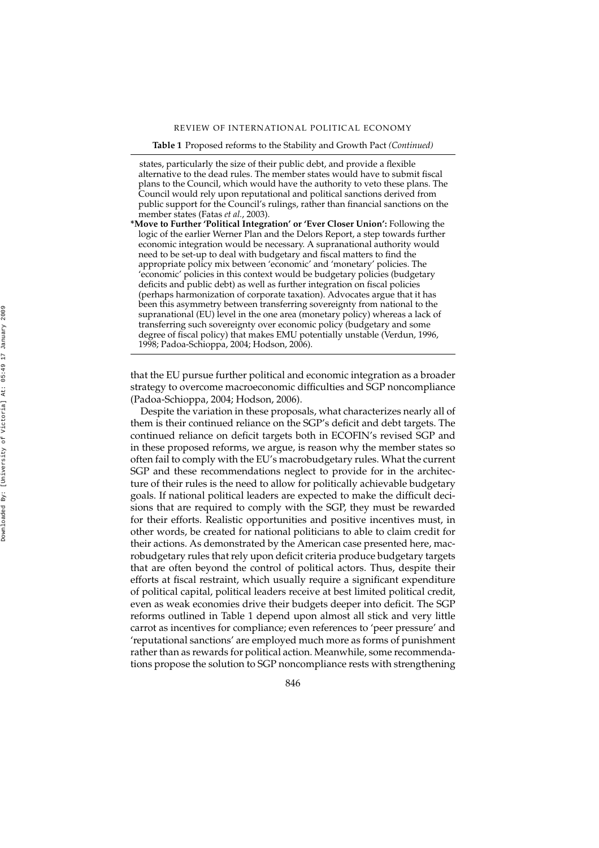**Table 1** Proposed reforms to the Stability and Growth Pact *(Continued)*

states, particularly the size of their public debt, and provide a flexible alternative to the dead rules. The member states would have to submit fiscal plans to the Council, which would have the authority to veto these plans. The Council would rely upon reputational and political sanctions derived from public support for the Council's rulings, rather than financial sanctions on the member states (Fatas *et al.* , 2003).

**\*Move to Further 'Political Integration' or 'Ever Closer Union':** Following the logic of the earlier Werner Plan and the Delors Report, a step towards further economic integration would be necessary. A supranational authority would need to be set-up to deal with budgetary and fiscal matters to find the appropriate policy mix between 'economic' and 'monetary' policies. The 'economic' policies in this context would be budgetary policies (budgetary deficits and public debt) as well as further integration on fiscal policies (perhaps harmonization of corporate taxation). Advocates argue that it has been this asymmetry between transferring sovereignty from national to the supranational (EU) level in the one area (monetary policy) whereas a lack of transferring such sovereignty over economic policy (budgetary and some degree of fiscal policy) that makes EMU potentially unstable (Verdun, 1996, 1998; Padoa-Schioppa, 2004; Hodson, 2006).

that the EU pursue further political and economic integration as a broader strategy to overcome macroeconomic difficulties and SGP noncompliance (Padoa-Schioppa, 2004; Hodson, 2006).

Despite the variation in these proposals, what characterizes nearly all of them is their continued reliance on the SGP's deficit and debt targets. The continued reliance on deficit targets both in ECOFIN's revised SGP and in these proposed reforms, we argue, is reason why the member states so often fail to comply with the EU's macrobudgetary rules. What the current SGP and these recommendations neglect to provide for in the architecture of their rules is the need to allow for politically achievable budgetary goals. If national political leaders are expected to make the difficult decisions that are required to comply with the SGP, they must be rewarded for their efforts. Realistic opportunities and positive incentives must, in other words, be created for national politicians to able to claim credit for their actions. As demonstrated by the American case presented here, mac robudgetary rules that rely upon deficit criteria produce budgetary targets that are often beyond the control of political actors. Thus, despite their efforts at fiscal restraint, which usually require a significant expenditure of political capital, political leaders receive at best limited political credit, even as weak economies drive their budgets deeper into deficit. The SGP reforms outlined in Table 1 depend upon almost all stick and very little carrot as incentives for compliance; even references to 'peer pressure' and 'reputational sanctions' are employed much more as forms of punishment rather than as rewards for political action. Meanwhile, some recommendations propose the solution to SGP noncompliance rests with strengthening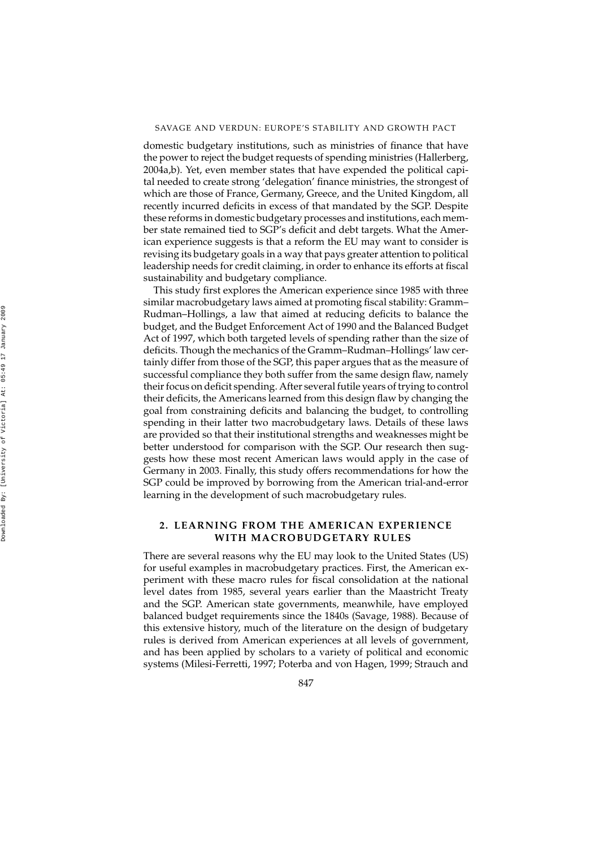## SAVAGE AND VERDUN: EUROPE'S STABILITY AND GROWTH PACT

domestic budgetary institutions, such as ministries of finance that have the power to reject the budget requests of spending ministries (Hallerberg, 2004a,b). Yet, even member states that have expended the political capital needed to create strong 'delegation' finance ministries, the strongest of which are those of France, Germany, Greece, and the United Kingdom, all recently incurred deficits in excess of that mandated by the SGP. Despite these reforms in domestic budgetary processes and institutions, each member state remained tied to SGP's deficit and debt targets. What the American experience suggests is that a reform the EU may want to consider is revising its budgetary goals in a way that pays greater attention to political leadership needs for credit claiming, in order to enhance its efforts at fiscal sustainability and budgetary compliance.

This study first explores the American experience since 1985 with three similar macrobudgetary laws aimed at promoting fiscal stability: Gramm– Rudman–Hollings, a law that aimed at reducing deficits to balance the budget, and the Budget Enforcement Act of 1990 and the Balanced Budget Act of 1997, which both targeted levels of spending rather than the size of deficits. Though the mechanics of the Gramm–Rudman–Hollings' law certainly differ from those of the SGP, this paper argues that as the measure of successful compliance they both suffer from the same design flaw, namely their focus on deficit spending. After several futile years of trying to control their deficits, the Americans learned from this design flaw by changing the goal from constraining deficits and balancing the budget, to controlling spending in their latter two macrobudgetary laws. Details of these laws are provided so that their institutional strengths and weaknesses might be better understood for comparison with the SGP. Our research then suggests how these most recent American laws would apply in the case of Germany in 2003. Finally, this study offers recommendations for how the SGP could be improved by borrowing from the American trial-and-error learning in the development of such macrobudgetary rules.

# **2. LEARNING FROM THE AMERICAN EXPERIENCE WITH MACROBUDGETARY RULES**

There are several reasons why the EU may look to the United States (US) for useful examples in macrobudgetary practices. First, the American experiment with these macro rules for fiscal consolidation at the national level dates from 1985, several years earlier than the Maastricht Treaty and the SGP. American state governments, meanwhile, have employed balanced budget requirements since the 1840s (Savage, 1988). Because of this extensive history, much of the literature on the design of budgetary rules is derived from American experiences at all levels of government, and has been applied by scholars to a variety of political and economic systems (Milesi-Ferretti, 1997; Poterba and von Hagen, 1999; Strauch and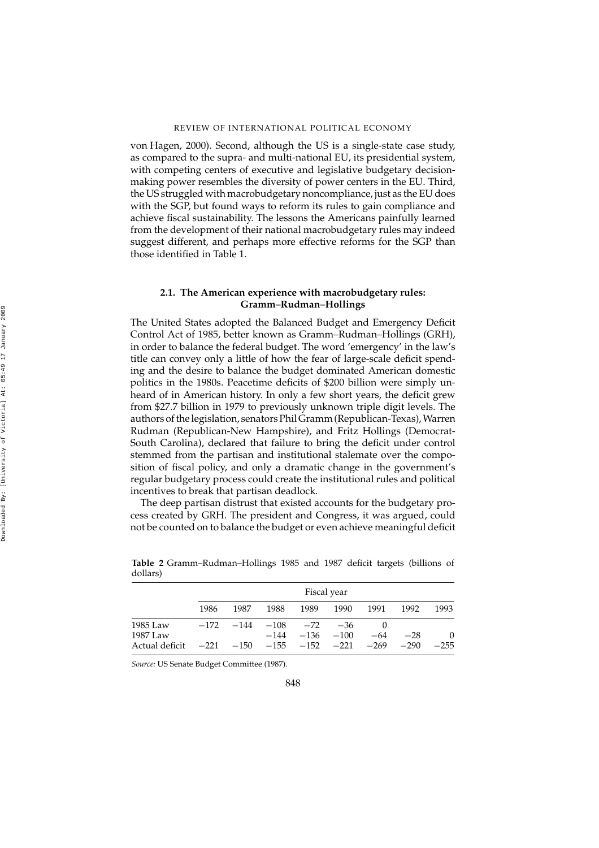von Hagen, 2000). Second, although the US is a single-state case study, as compared to the supra- and multi-national EU, its presidential system, with competing centers of executive and legislative budgetary decisionmaking power resembles the diversity of power centers in the EU. Third, the US struggled with macrobudgetary noncompliance, just as the EU does with the SGP, but found ways to reform its rules to gain compliance and achieve fiscal sustainability. The lessons the Americans painfully learned from the development of their national macrobudgetary rules may indeed suggest different, and perhaps more effective reforms for the SGP than those identified in Table 1.

## **2.1. The American experience with macrobudgetary rules: Gramm–Rudman–Hollings**

The United States adopted the Balanced Budget and Emergency Deficit Control Act of 1985, better known as Gramm–Rudman–Hollings (GRH), in order to balance the federal budget. The word 'emergency' in the law's title can convey only a little of how the fear of large-scale deficit spending and the desire to balance the budget dominated American domestic politics in the 1980s. Peacetime deficits of \$200 billion were simply unheard of in American history. In only a few short years, the deficit grew from \$27.7 billion in 1979 to previously unknown triple digit levels. The authors of the legislation, senators Phil Gramm (Republican-Texas), Warren Rudman (Republican-New Hampshire), and Fritz Hollings (Democrat-South Carolina), declared that failure to bring the deficit under control stemmed from the partisan and institutional stalemate over the composition of fiscal policy, and only a dramatic change in the government's regular budgetary process could create the institutional rules and political incentives to break that partisan deadlock.

The deep partisan distrust that existed accounts for the budgetary process created by GRH. The president and Congress, it was argued, could not be counted on to balance the budget or even achieve meaningful deficit

|                                        |        |                                            |                  | Fiscal year |                       |                 |                 |             |
|----------------------------------------|--------|--------------------------------------------|------------------|-------------|-----------------------|-----------------|-----------------|-------------|
|                                        | 1986   | 1987                                       | 1988             | 1989        | 1990                  | 1991            | 1992            | 1993        |
| 1985 Law<br>1987 Law<br>Actual deficit | $-172$ | -144<br>$-221$ $-150$ $-155$ $-152$ $-221$ | $-108$<br>$-144$ | $-72$       | $-36$<br>$-136 - 100$ | $-64$<br>$-269$ | $-28$<br>$-290$ | 0<br>$-255$ |

**Table 2** Gramm–Rudman–Hollings 1985 and 1987 deficit targets (billions of dollars)

*Source:* US Senate Budget Committee (1987).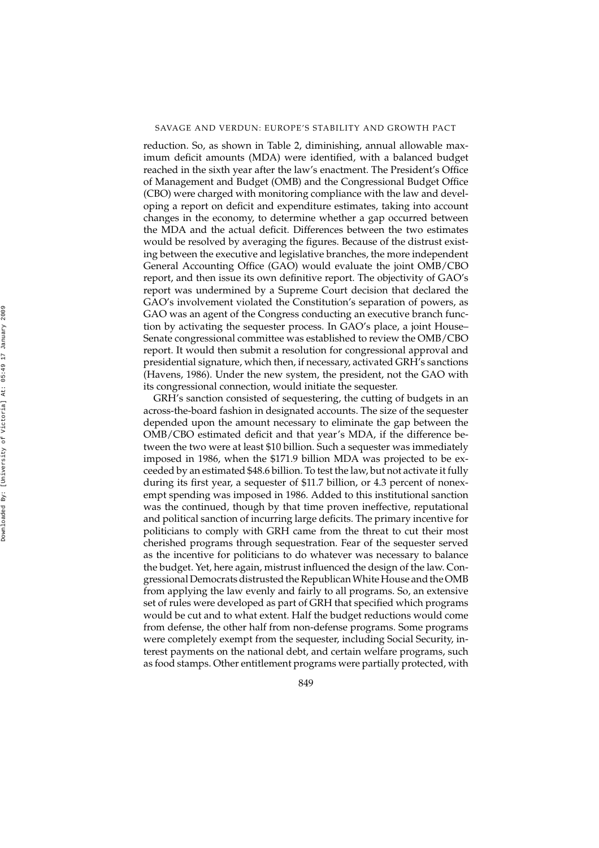#### SAVAGE AND VERDUN: EUROPE'S STABILITY AND GROWTH PACT

reduction. So, as shown in Table 2, diminishing, annual allowable maximum deficit amounts (MDA) were identified, with a balanced budget reached in the sixth year after the law's enactment. The President's Office of Management and Budget (OMB) and the Congressional Budget Office (CBO) were charged with monitoring compliance with the law and developing a report on deficit and expenditure estimates, taking into account changes in the economy, to determine whether a gap occurred between the MDA and the actual deficit. Differences between the two estimates would be resolved by averaging the figures. Because of the distrust existing between the executive and legislative branches, the more independent General Accounting Office (GAO) would evaluate the joint OMB/CBO report, and then issue its own definitive report. The objectivity of GAO's report was undermined by a Supreme Court decision that declared the GAO's involvement violated the Constitution's separation of powers, as GAO was an agent of the Congress conducting an executive branch function by activating the sequester process. In GAO's place, a joint House– Senate congressional committee was established to review the OMB/CBO report. It would then submit a resolution for congressional approval and presidential signature, which then, if necessary, activated GRH's sanctions (Havens, 1986). Under the new system, the president, not the GAO with its congressional connection, would initiate the sequester.

GRH's sanction consisted of sequestering, the cutting of budgets in an across-the-board fashion in designated accounts. The size of the sequester depended upon the amount necessary to eliminate the gap between the OMB/CBO estimated deficit and that year's MDA, if the difference between the two were at least \$10 billion. Such a sequester was immediately imposed in 1986, when the \$171.9 billion MDA was projected to be exceeded by an estimated \$48.6 billion. To test the law, but not activate it fully during its first year, a sequester of \$11.7 billion, or 4.3 percent of nonexempt spending was imposed in 1986. Added to this institutional sanction was the continued, though by that time proven ineffective, reputational and political sanction of incurring large deficits. The primary incentive for politicians to comply with GRH came from the threat to cut their most cherished programs through sequestration. Fear of the sequester served as the incentive for politicians to do whatever was necessary to balance the budget. Yet, here again, mistrust influenced the design of the law. Congressional Democrats distrusted the Republican White House and the OMB from applying the law evenly and fairly to all programs. So, an extensive set of rules were developed as part of GRH that specified which programs would be cut and to what extent. Half the budget reductions would come from defense, the other half from non-defense programs. Some programs were completely exempt from the sequester, including Social Security, interest payments on the national debt, and certain welfare programs, such as food stamps. Other entitlement programs were partially protected, with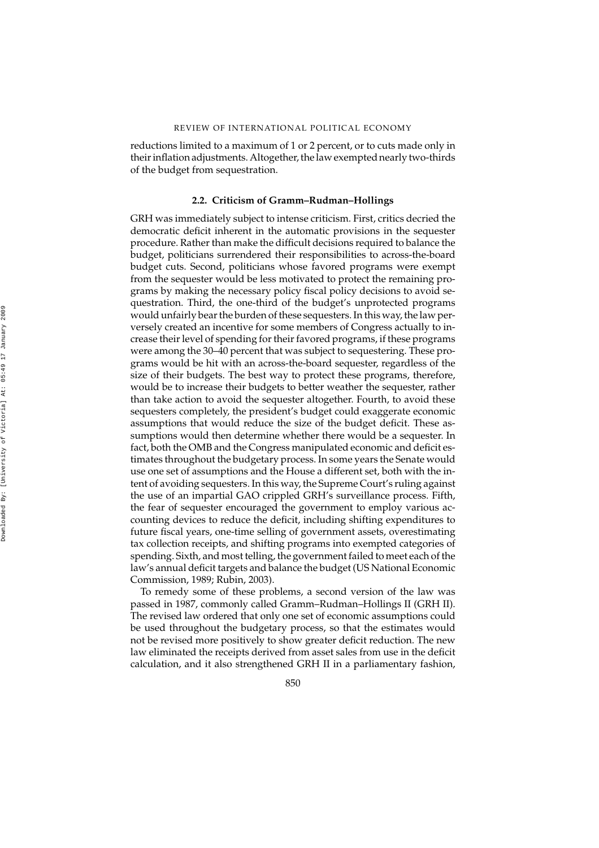reductions limited to a maximum of 1 or 2 percent, or to cuts made only in their inflation adjustments. Altogether, the law exempted nearly two-thirds of the budget from sequestration.

#### **2.2. Criticism of Gramm–Rudman–Hollings**

GRH was immediately subject to intense criticism. First, critics decried the democratic deficit inherent in the automatic provisions in the sequester procedure. Rather than make the difficult decisions required to balance the budget, politicians surrendered their responsibilities to across-the-board budget cuts. Second, politicians whose favored programs were exempt from the sequester would be less motivated to protect the remaining programs by making the necessary policy fiscal policy decisions to avoid sequestration. Third, the one-third of the budget's unprotected programs would unfairly bear the burden of these sequesters. In this way, the law perversely created an incentive for some members of Congress actually to increase their level of spending for their favored programs, if these programs were among the 30–40 percent that was subject to sequestering. These programs would be hit with an across-the-board sequester, regardless of the size of their budgets. The best way to protect these programs, therefore, would be to increase their budgets to better weather the sequester, rather than take action to avoid the sequester altogether. Fourth, to avoid these sequesters completely, the president's budget could exaggerate economic assumptions that would reduce the size of the budget deficit. These assumptions would then determine whether there would be a sequester. In fact, both the OMB and the Congress manipulated economic and deficit estimates throughout the budgetary process. In some years the Senate would use one set of assumptions and the House a different set, both with the intent of avoiding sequesters. In this way, the Supreme Court's ruling against the use of an impartial GAO crippled GRH's surveillance process. Fifth, the fear of sequester encouraged the government to employ various accounting devices to reduce the deficit, including shifting expenditures to future fiscal years, one-time selling of government assets, overestimating tax collection receipts, and shifting programs into exempted categories of spending. Sixth, and most telling, the government failed to meet each of the law's annual deficit targets and balance the budget (US National Economic Commission, 1989; Rubin, 2003).

To remedy some of these problems, a second version of the law was passed in 1987, commonly called Gramm–Rudman–Hollings II (GRH II). The revised law ordered that only one set of economic assumptions could be used throughout the budgetary process, so that the estimates would not be revised more positively to show greater deficit reduction. The new law eliminated the receipts derived from asset sales from use in the deficit calculation, and it also strengthened GRH II in a parliamentary fashion,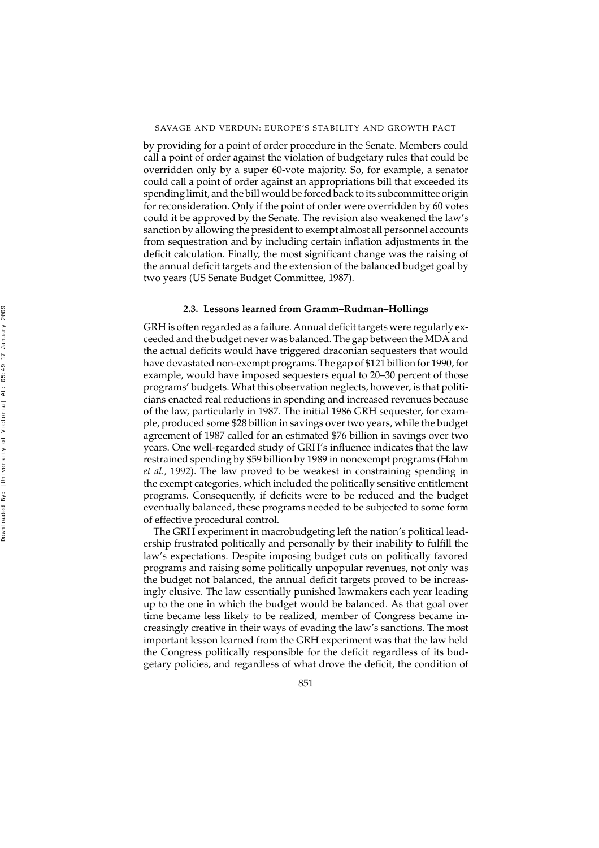by providing for a point of order procedure in the Senate. Members could call a point of order against the violation of budgetary rules that could be overridden only by a super 60-vote majority. So, for example, a senator could call a point of order against an appropriations bill that exceeded its spending limit, and the bill would be forced back to its subcommittee origin for reconsideration. Only if the point of order were overridden by 60 votes could it be approved by the Senate. The revision also weakened the law's sanction by allowing the president to exempt almost all personnel accounts from sequestration and by including certain inflation adjustments in the deficit calculation. Finally, the most significant change was the raising of the annual deficit targets and the extension of the balanced budget goal by two years (US Senate Budget Committee, 1987).

#### **2.3. Lessons learned from Gramm–Rudman–Hollings**

GRH is often regarded as a failure. Annual deficit targets were regularly exceeded and the budget never was balanced. The gap between the MDA and the actual deficits would have triggered draconian sequesters that would have devastated non-exempt programs. The gap of \$121 billion for 1990, for example, would have imposed sequesters equal to 20–30 percent of those programs' budgets. What this observation neglects, however, is that politicians enacted real reductions in spending and increased revenues because of the law, particularly in 1987. The initial 1986 GRH sequester, for example, produced some \$28 billion in savings over two years, while the budget agreement of 1987 called for an estimated \$76 billion in savings over two years. One well-regarded study of GRH's influence indicates that the law restrained spending by \$59 billion by 1989 in nonexempt programs (Hahm *et al.,* 1992). The law proved to be weakest in constraining spending in the exempt categories, which included the politically sensitive entitlement programs. Consequently, if deficits were to be reduced and the budget eventually balanced, these programs needed to be subjected to some form of effective procedural control.

The GRH experiment in macrobudgeting left the nation's political leadership frustrated politically and personally by their inability to fulfill the law's expectations. Despite imposing budget cuts on politically favored programs and raising some politically unpopular revenues, not only was the budget not balanced, the annual deficit targets proved to be increasingly elusive. The law essentially punished lawmakers each year leading up to the one in which the budget would be balanced. As that goal over time became less likely to be realized, member of Congress became increasingly creative in their ways of evading the law's sanctions. The most important lesson learned from the GRH experiment was that the law held the Congress politically responsible for the deficit regardless of its budgetary policies, and regardless of what drove the deficit, the condition of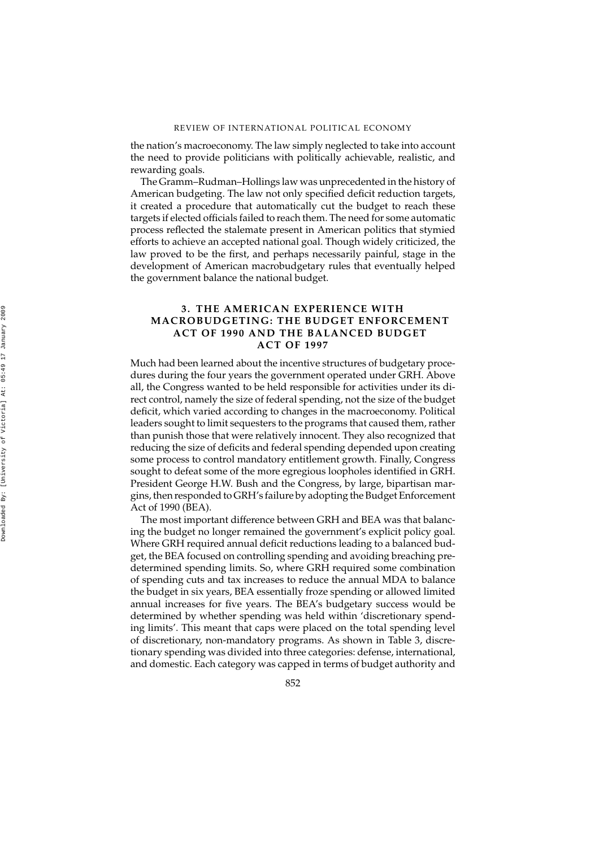the nation's macroeconomy. The law simply neglected to take into account the need to provide politicians with politically achievable, realistic, and rewarding goals.

The Gramm–Rudman–Hollings law was unprecedented in the history of American budgeting. The law not only specified deficit reduction targets, it created a procedure that automatically cut the budget to reach these targets if elected officials failed to reach them. The need for some automatic process reflected the stalemate present in American politics that stymied efforts to achieve an accepted national goal. Though widely criticized, the law proved to be the first, and perhaps necessarily painful, stage in the development of American macrobudgetary rules that eventually helped the government balance the national budget.

## **3. THE AMERICAN EXPERIENCE WITH MACROBUDGETING: THE BUDGET ENFORCEMENT ACT OF 1990 AND THE BALANCED BUDGET ACT OF 1997**

Much had been learned about the incentive structures of budgetary procedures during the four years the government operated under GRH. Above all, the Congress wanted to be held responsible for activities under its di rect control, namely the size of federal spending, not the size of the budget deficit, which varied according to changes in the macroeconomy. Political leaders sought to limit sequesters to the programs that caused them, rather than punish those that were relatively innocent. They also recognized that reducing the size of deficits and federal spending depended upon creating some process to control mandatory entitlement growth. Finally, Congress sought to defeat some of the more egregious loopholes identified in GRH. President George H.W. Bush and the Congress, by large, bipartisan margins, then responded to GRH's failure by adopting the Budget Enforcement Act of 1990 (BEA).

The most important difference between GRH and BEA was that balancing the budget no longer remained the government's explicit policy goal. Where GRH required annual deficit reductions leading to a balanced budget, the BEA focused on controlling spending and avoiding breaching predetermined spending limits. So, where GRH required some combination of spending cuts and tax increases to reduce the annual MDA to balance the budget in six years, BEA essentially froze spending or allowed limited annual increases for five years. The BEA's budgetary success would be determined by whether spending was held within 'discretionary spending limits'. This meant that caps were placed on the total spending level of discretionary, non-mandatory programs. As shown in Table 3, discretionary spending was divided into three categories: defense, international, and domestic. Each category was capped in terms of budget authority and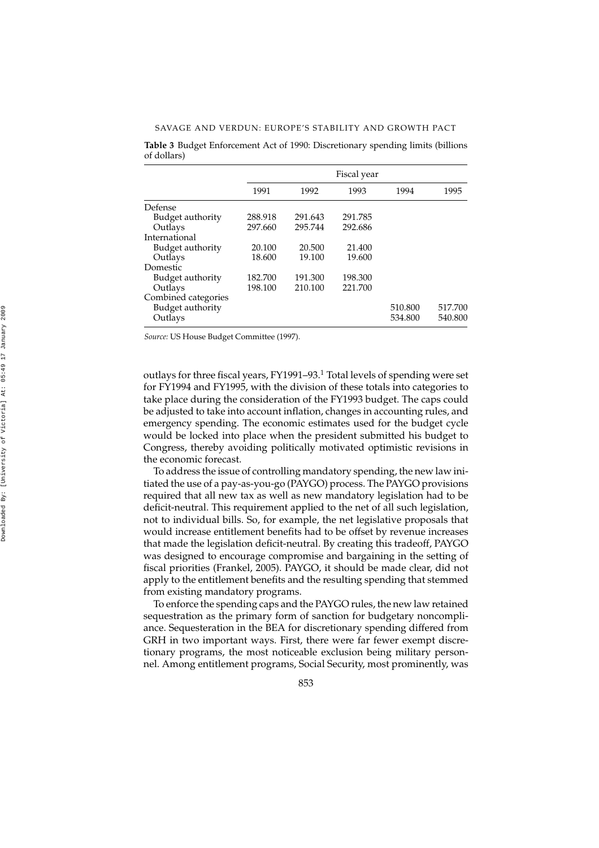SAVAGE AND VERDUN: EUROPE'S STABILITY AND GROWTH PACT

**Table 3** Budget Enforcement Act of 1990: Discretionary spending limits (billions of dollars)

|                     |         |         | Fiscal year |         |         |
|---------------------|---------|---------|-------------|---------|---------|
|                     | 1991    | 1992    | 1993        | 1994    | 1995    |
| Defense             |         |         |             |         |         |
| Budget authority    | 288.918 | 291.643 | 291.785     |         |         |
| Outlays             | 297.660 | 295.744 | 292.686     |         |         |
| International       |         |         |             |         |         |
| Budget authority    | 20.100  | 20.500  | 21.400      |         |         |
| Outlays             | 18.600  | 19.100  | 19.600      |         |         |
| Domestic            |         |         |             |         |         |
| Budget authority    | 182.700 | 191.300 | 198.300     |         |         |
| Outlays             | 198.100 | 210.100 | 221.700     |         |         |
| Combined categories |         |         |             |         |         |
| Budget authority    |         |         |             | 510.800 | 517.700 |
| Outlays             |         |         |             | 534.800 | 540.800 |

*Source:* US House Budget Committee (1997).

outlays for three fiscal years, FY1991–93. 1 Total levels of spending were set for FY1994 and FY1995, with the division of these totals into categories to take place during the consideration of the FY1993 budget. The caps could be adjusted to take into account inflation, changes in accounting rules, and emergency spending. The economic estimates used for the budget cycle would be locked into place when the president submitted his budget to Congress, thereby avoiding politically motivated optimistic revisions in the economic forecast.

To address the issue of controlling mandatory spending, the new law initiated the use of a pay-as-you-go (PAYGO) process. The PAYGO provisions required that all new tax as well as new mandatory legislation had to be deficit-neutral. This requirement applied to the net of all such legislation, not to individual bills. So, for example, the net legislative proposals that would increase entitlement benefits had to be offset by revenue increases that made the legislation deficit-neutral. By creating this tradeoff, PAYGO was designed to encourage compromise and bargaining in the setting of fiscal priorities (Frankel, 2005). PAYGO, it should be made clear, did not apply to the entitlement benefits and the resulting spending that stemmed from existing mandatory programs.

To enforce the spending caps and the PAYGO rules, the new law retained sequestration as the primary form of sanction for budgetary noncompliance. Sequesteration in the BEA for discretionary spending differed from GRH in two important ways. First, there were far fewer exempt discretionary programs, the most noticeable exclusion being military personnel. Among entitlement programs, Social Security, most prominently, was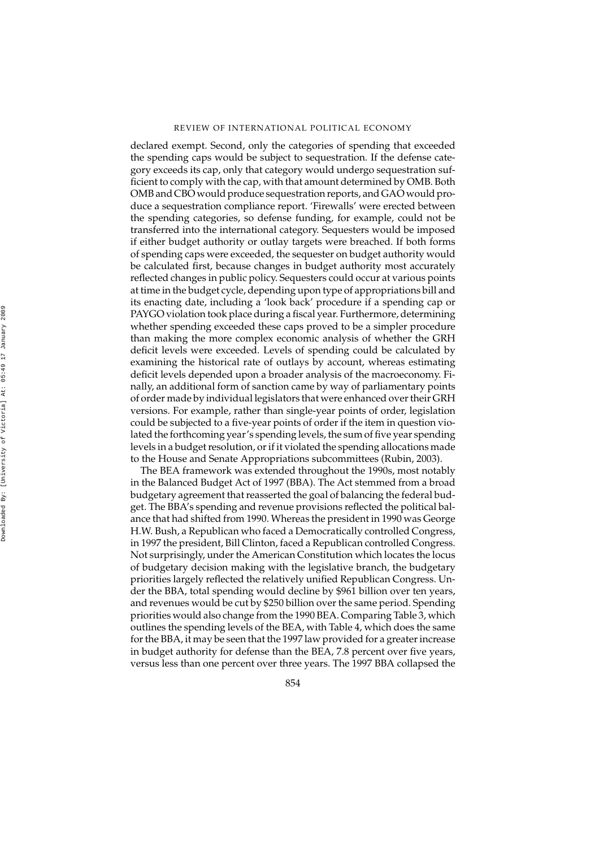## REVIEW OF INTERNATIONAL POLITICAL ECONOMY

declared exempt. Second, only the categories of spending that exceeded the spending caps would be subject to sequestration. If the defense category exceeds its cap, only that category would undergo sequestration sufficient to comply with the cap, with that amount determined by OMB. Both OMB and CBO would produce sequestration reports, and GAO would produce a sequestration compliance report. 'Firewalls' were erected between the spending categories, so defense funding, for example, could not be transferred into the international category. Sequesters would be imposed if either budget authority or outlay targets were breached. If both forms of spending caps were exceeded, the sequester on budget authority would be calculated first, because changes in budget authority most accurately reflected changes in public policy. Sequesters could occur at various points at time in the budget cycle, depending upon type of appropriations bill and its enacting date, including a 'look back' procedure if a spending cap or PAYGO violation took place during a fiscal year. Furthermore, determining whether spending exceeded these caps proved to be a simpler procedure than making the more complex economic analysis of whether the GRH deficit levels were exceeded. Levels of spending could be calculated by examining the historical rate of outlays by account, whereas estimating deficit levels depended upon a broader analysis of the macroeconomy. Finally, an additional form of sanction came by way of parliamentary points of order made by individual legislators that were enhanced over their GRH versions. For example, rather than single-year points of order, legislation could be subjected to a five-year points of order if the item in question violated the forthcoming year's spending levels, the sum of five year spending levels in a budget resolution, or if it violated the spending allocations made to the House and Senate Appropriations subcommittees (Rubin, 2003).

The BEA framework was extended throughout the 1990s, most notably in the Balanced Budget Act of 1997 (BBA). The Act stemmed from a broad budgetary agreement that reasserted the goal of balancing the federal budget. The BBA's spending and revenue provisions reflected the political balance that had shifted from 1990. Whereas the president in 1990 was George H.W. Bush, a Republican who faced a Democratically controlled Congress, in 1997 the president, Bill Clinton, faced a Republican controlled Congress. Not surprisingly, under the American Constitution which locates the locus of budgetary decision making with the legislative branch, the budgetary priorities largely reflected the relatively unified Republican Congress. Under the BBA, total spending would decline by \$961 billion over ten years, and revenues would be cut by \$250 billion over the same period. Spending priorities would also change from the 1990 BEA. Comparing Table 3, which outlines the spending levels of the BEA, with Table 4, which does the same for the BBA, it may be seen that the 1997 law provided for a greater increase in budget authority for defense than the BEA, 7.8 percent over five years, versus less than one percent over three years. The 1997 BBA collapsed the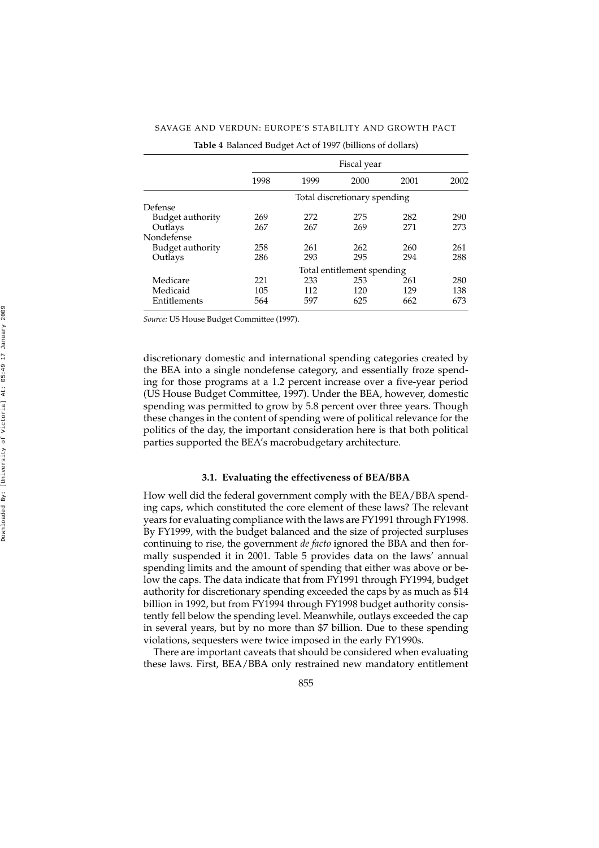|                  |                            |      | Fiscal year                  |      |      |  |  |  |
|------------------|----------------------------|------|------------------------------|------|------|--|--|--|
|                  | 1998                       | 1999 | 2000                         | 2001 | 2002 |  |  |  |
|                  |                            |      | Total discretionary spending |      |      |  |  |  |
| Defense          |                            |      |                              |      |      |  |  |  |
| Budget authority | 269                        | 272  | 275                          | 282  | 290  |  |  |  |
| Outlays          | 267                        | 267  | 269                          | 271  | 273  |  |  |  |
| Nondefense       |                            |      |                              |      |      |  |  |  |
| Budget authority | 258                        | 261  | 262                          | 260  | 261  |  |  |  |
| Outlays          | 286                        | 293  | 295                          | 294  | 288  |  |  |  |
|                  | Total entitlement spending |      |                              |      |      |  |  |  |
| Medicare         | 221                        | 233  | 253                          | 261  | 280  |  |  |  |
| Medicaid         | 105                        | 112  | 120                          | 129  | 138  |  |  |  |
| Entitlements     | 564                        | 597  | 625                          | 662  | 673  |  |  |  |

SAVAGE AND VERDUN: EUROPE'S STABILITY AND GROWTH PACT

**Table 4** Balanced Budget Act of 1997 (billions of dollars)

*Source:* US House Budget Committee (1997).

discretionary domestic and international spending categories created by the BEA into a single nondefense category, and essentially froze spending for those programs at a 1.2 percent increase over a five-year period (US House Budget Committee, 1997). Under the BEA, however, domestic spending was permitted to grow by 5.8 percent over three years. Though these changes in the content of spending were of political relevance for the politics of the day, the important consideration here is that both political parties supported the BEA's macrobudgetary architecture.

## **3.1. Evaluating the effectiveness of BEA/BBA**

How well did the federal government comply with the BEA/BBA spending caps, which constituted the core element of these laws? The relevant years for evaluating compliance with the laws are FY1991 through FY1998. By FY1999, with the budget balanced and the size of projected surpluses continuing to rise, the government *de facto* ignored the BBA and then formally suspended it in 2001. Table 5 provides data on the laws' annual spending limits and the amount of spending that either was above or below the caps. The data indicate that from FY1991 through FY1994, budget authority for discretionary spending exceeded the caps by as much as \$14 billion in 1992, but from FY1994 through FY1998 budget authority consistently fell below the spending level. Meanwhile, outlays exceeded the cap in several years, but by no more than \$7 billion. Due to these spending violations, sequesters were twice imposed in the early FY1990s.

There are important caveats that should be considered when evaluating these laws. First, BEA/BBA only restrained new mandatory entitlement

855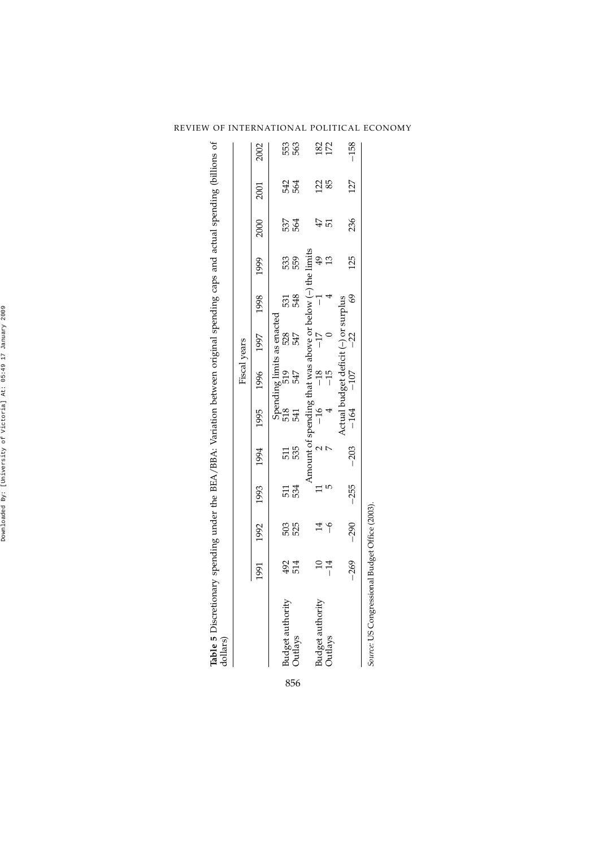| Table 5 Discretionary spending under the BEA/BBA: Variation between original spending caps and actual spending (billions of<br>dollars) |               |               |                 |            |                                                                                                                            |              |      |           |                |                 |            |
|-----------------------------------------------------------------------------------------------------------------------------------------|---------------|---------------|-----------------|------------|----------------------------------------------------------------------------------------------------------------------------|--------------|------|-----------|----------------|-----------------|------------|
|                                                                                                                                         |               |               |                 |            |                                                                                                                            | Fiscal years |      |           |                |                 |            |
|                                                                                                                                         | 1991          |               |                 |            | 1992 1993 1994 1995 1996 1997                                                                                              |              | 1998 | 1999      | 2000           | 2001            | 2002       |
|                                                                                                                                         |               |               |                 |            |                                                                                                                            |              |      |           |                |                 |            |
| Budget authority                                                                                                                        |               |               |                 |            |                                                                                                                            |              |      |           |                |                 |            |
| Outlays                                                                                                                                 | 492<br>514    | 503<br>525    | 534             | 511<br>535 |                                                                                                                            |              | 548  | 53<br>559 | 537<br>564     | 54<br>564       | 553<br>563 |
|                                                                                                                                         |               |               |                 |            |                                                                                                                            |              |      |           |                |                 |            |
| Budget authority                                                                                                                        |               |               | $\overline{11}$ |            |                                                                                                                            |              |      |           |                |                 |            |
| Outlays                                                                                                                                 | $\frac{1}{4}$ | $\frac{6}{1}$ | LO              |            | Amount of spending that was above or below (-) the limits<br>$2 \t-16 \t-18 \t-17 \t-1 \t49$<br>$7 \t4 \t-15 \t0 \t4 \t13$ |              |      |           | $\frac{17}{4}$ | $\frac{22}{85}$ | 182        |
|                                                                                                                                         |               |               |                 |            | Actual budget deficit $(-)$ or surplus<br>-203 -164 -107 -22 69                                                            |              |      |           |                |                 |            |
|                                                                                                                                         | $-269$        | $-290$        | $-255$          |            |                                                                                                                            |              |      | 125       | 236            | 127             | $-158$     |
| Source: US Congressional Budget Office (2003).                                                                                          |               |               |                 |            |                                                                                                                            |              |      |           |                |                 |            |

REVIEW OF INTERNATIONAL POLITICAL ECONOMY

856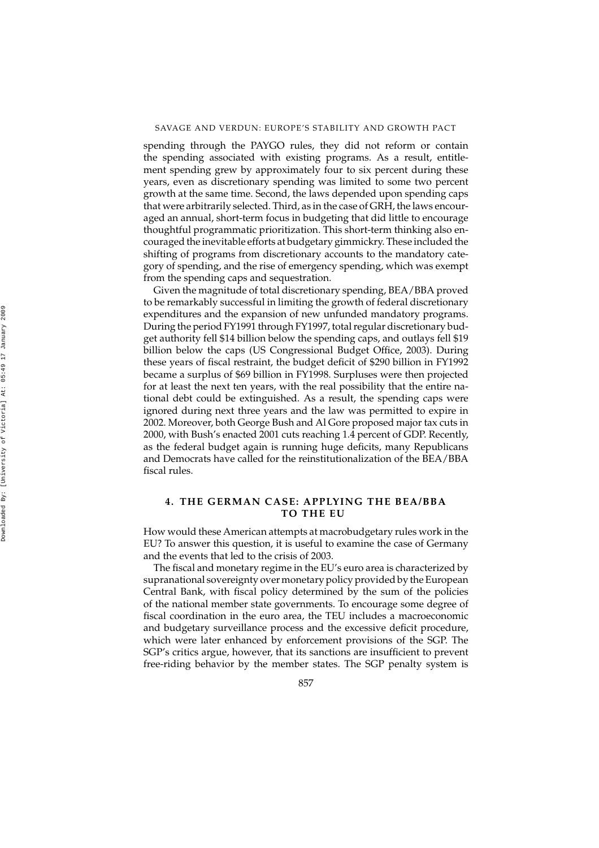spending through the PAYGO rules, they did not reform or contain the spending associated with existing programs. As a result, entitlement spending grew by approximately four to six percent during these years, even as discretionary spending was limited to some two percent growth at the same time. Second, the laws depended upon spending caps that were arbitrarily selected. Third, as in the case of GRH, the laws encouraged an annual, short-term focus in budgeting that did little to encourage thoughtful programmatic prioritization. This short-term thinking also encouraged the inevitable efforts at budgetary gimmickry. These included the shifting of programs from discretionary accounts to the mandatory category of spending, and the rise of emergency spending, which was exempt from the spending caps and sequestration.

Given the magnitude of total discretionary spending, BEA/BBA proved to be remarkably successful in limiting the growth of federal discretionary expenditures and the expansion of new unfunded mandatory programs. During the period FY1991 through FY1997, total regular discretionary budget authority fell \$14 billion below the spending caps, and outlays fell \$19 billion below the caps (US Congressional Budget Office, 2003). During these years of fiscal restraint, the budget deficit of \$290 billion in FY1992 became a surplus of \$69 billion in FY1998. Surpluses were then projected for at least the next ten years, with the real possibility that the entire national debt could be extinguished. As a result, the spending caps were ignored during next three years and the law was permitted to expire in 2002. Moreover, both George Bush and Al Gore proposed major tax cuts in 2000, with Bush's enacted 2001 cuts reaching 1.4 percent of GDP. Recently, as the federal budget again is running huge deficits, many Republicans and Democrats have called for the reinstitutionalization of the BEA/BBA fiscal rules.

# **4. THE GERMAN CASE: APPLYING THE BEA/BBA TO THE EU**

How would these American attempts at macrobudgetary rules work in the EU? To answer this question, it is useful to examine the case of Germany and the events that led to the crisis of 2003.

The fiscal and monetary regime in the EU's euro area is characterized by supranational sovereignty over monetary policy provided by the European Central Bank, with fiscal policy determined by the sum of the policies of the national member state governments. To encourage some degree of fiscal coordination in the euro area, the TEU includes a macroeconomic and budgetary surveillance process and the excessive deficit procedure, which were later enhanced by enforcement provisions of the SGP. The SGP's critics argue, however, that its sanctions are insufficient to prevent free-riding behavior by the member states. The SGP penalty system is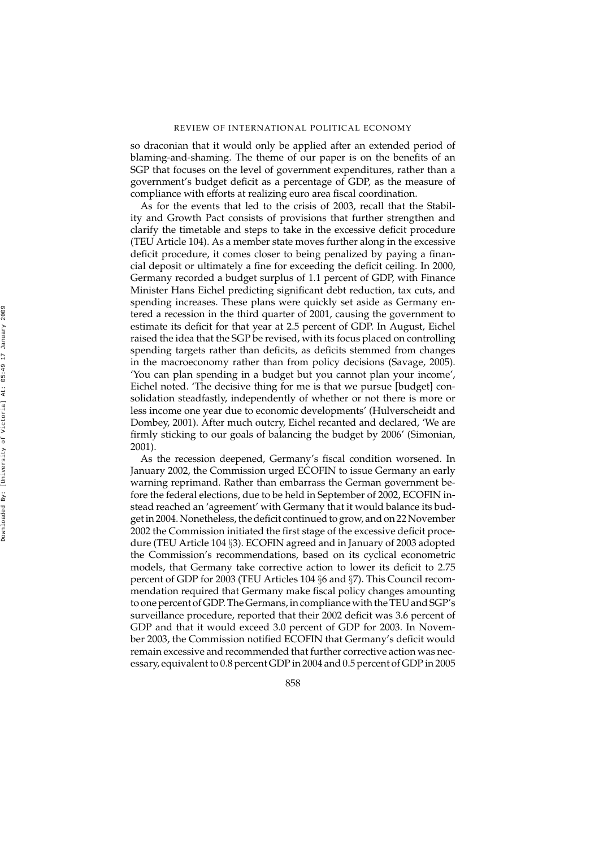## REVIEW OF INTERNATIONAL POLITICAL ECONOMY

so draconian that it would only be applied after an extended period of blaming-and-shaming. The theme of our paper is on the benefits of an SGP that focuses on the level of government expenditures, rather than a government's budget deficit as a percentage of GDP, as the measure of compliance with efforts at realizing euro area fiscal coordination.

As for the events that led to the crisis of 2003, recall that the Stability and Growth Pact consists of provisions that further strengthen and clarify the timetable and steps to take in the excessive deficit procedure (TEU Article 104). As a member state moves further along in the excessive deficit procedure, it comes closer to being penalized by paying a financial deposit or ultimately a fine for exceeding the deficit ceiling. In 2000, Germany recorded a budget surplus of 1.1 percent of GDP, with Finance Minister Hans Eichel predicting significant debt reduction, tax cuts, and spending increases. These plans were quickly set aside as Germany entered a recession in the third quarter of 2001, causing the government to estimate its deficit for that year at 2.5 percent of GDP. In August, Eichel raised the idea that the SGP be revised, with its focus placed on controlling spending targets rather than deficits, as deficits stemmed from changes in the macroeconomy rather than from policy decisions (Savage, 2005). 'You can plan spending in a budget but you cannot plan your income', Eichel noted. 'The decisive thing for me is that we pursue [budget] consolidation steadfastly, independently of whether or not there is more or less income one year due to economic developments' (Hulverscheidt and Dombey, 2001). After much outcry, Eichel recanted and declared, 'We are firmly sticking to our goals of balancing the budget by 2006' (Simonian, 2001).

As the recession deepened, Germany's fiscal condition worsened. In January 2002, the Commission urged ECOFIN to issue Germany an early warning reprimand. Rather than embarrass the German government before the federal elections, due to be held in September of 2002, ECOFIN instead reached an 'agreement' with Germany that it would balance its budget in 2004. Nonetheless, the deficit continued to grow, and on 22 November 2002 the Commission initiated the first stage of the excessive deficit procedure (TEU Article 104 §3). ECOFIN agreed and in January of 2003 adopted the Commission's recommendations, based on its cyclical econometric models, that Germany take corrective action to lower its deficit to 2.75 percent of GDP for 2003 (TEU Articles 104 § 6 and §7). This Council recommendation required that Germany make fiscal policy changes amounting to one percent of GDP. The Germans, in compliance with the TEU and SGP's surveillance procedure, reported that their 2002 deficit was 3.6 percent of GDP and that it would exceed 3.0 percent of GDP for 2003. In November 2003, the Commission notified ECOFIN that Germany's deficit would remain excessive and recommended that further corrective action was necessary, equivalent to 0.8 percent GDP in 2004 and 0.5 percent of GDP in 2005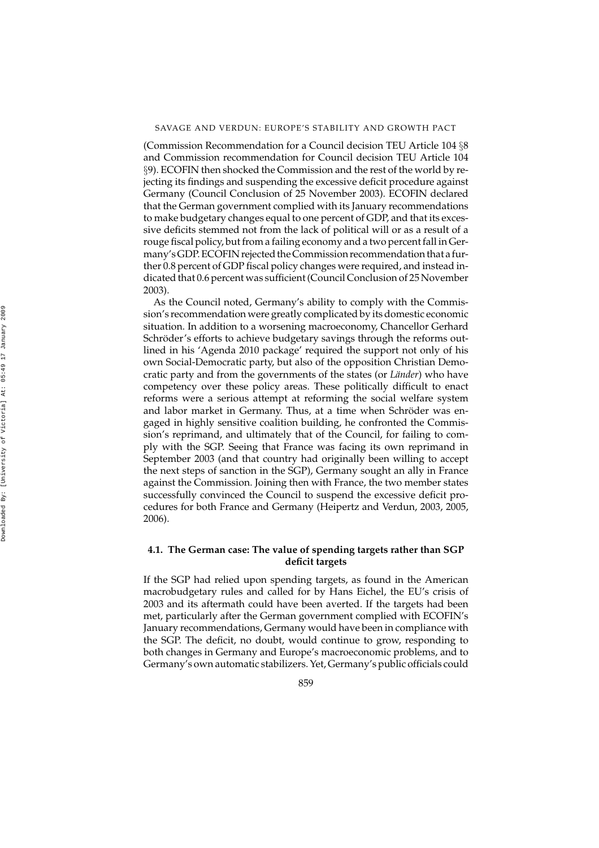#### SAVAGE AND VERDUN: EUROPE'S STABILITY AND GROWTH PACT

(Commission Recommendation for a Council decision TEU Article 104 § 8 and Commission recommendation for Council decision TEU Article 104 §9). ECOFIN then shocked the Commission and the rest of the world by rejecting its findings and suspending the excessive deficit procedure against Germany (Council Conclusion of 25 November 2003). ECOFIN declared that the German government complied with its January recommendations to make budgetary changes equal to one percent of GDP, and that its excessive deficits stemmed not from the lack of political will or as a result of a rouge fiscal policy, but from a failing economy and a two percent fall in Germany's GDP. ECOFIN rejected the Commission recommendation that a further 0.8 percent of GDP fiscal policy changes were required, and instead indicated that 0.6 percent was sufficient (Council Conclusion of 25 November 2003).

As the Council noted, Germany's ability to comply with the Commission's recommendation were greatly complicated by its domestic economic situation. In addition to a worsening macroeconomy, Chancellor Gerhard Schröder's efforts to achieve budgetary savings through the reforms outlined in his 'Agenda 2010 package' required the support not only of his own Social-Democratic party, but also of the opposition Christian Democratic party and from the governments of the states (or *Länder*) who have competency over these policy areas. These politically difficult to enact reforms were a serious attempt at reforming the social welfare system and labor market in Germany. Thus, at a time when Schröder was engaged in highly sensitive coalition building, he confronted the Commission's reprimand, and ultimately that of the Council, for failing to comply with the SGP. Seeing that France was facing its own reprimand in September 2003 (and that country had originally been willing to accept the next steps of sanction in the SGP), Germany sought an ally in France against the Commission. Joining then with France, the two member states successfully convinced the Council to suspend the excessive deficit procedures for both France and Germany (Heipertz and Verdun, 2003, 2005, 2006).

## **4.1. The German case: The value of spending targets rather than SGP deficit targets**

If the SGP had relied upon spending targets, as found in the American macrobudgetary rules and called for by Hans Eichel, the EU's crisis of 2003 and its aftermath could have been averted. If the targets had been met, particularly after the German government complied with ECOFIN's January recommendations, Germany would have been in compliance with the SGP. The deficit, no doubt, would continue to grow, responding to both changes in Germany and Europe's macroeconomic problems, and to Germany's own automatic stabilizers. Yet, Germany's public officials could

#### 859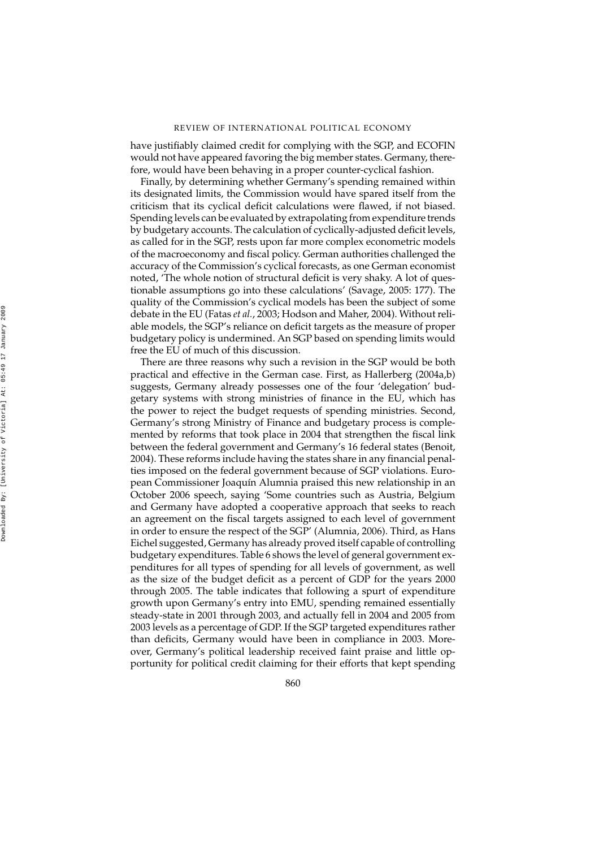#### REVIEW OF INTERNATIONAL POLITICAL ECONOMY

have justifiably claimed credit for complying with the SGP, and ECOFIN would not have appeared favoring the big member states. Germany, therefore, would have been behaving in a proper counter-cyclical fashion.

Finally, by determining whether Germany's spending remained within its designated limits, the Commission would have spared itself from the criticism that its cyclical deficit calculations were flawed, if not biased. Spending levels can be evaluated by extrapolating from expenditure trends by budgetary accounts. The calculation of cyclically-adjusted deficit levels, as called for in the SGP, rests upon far more complex econometric models of the macroeconomy and fiscal policy. German authorities challenged the accuracy of the Commission's cyclical forecasts, as one German economist noted, 'The whole notion of structural deficit is very shaky. A lot of questionable assumptions go into these calculations' (Savage, 2005: 177). The quality of the Commission's cyclical models has been the subject of some debate in the EU (Fatas *et al.* , 2003; Hodson and Maher, 2004). Without reliable models, the SGP's reliance on deficit targets as the measure of proper budgetary policy is undermined. An SGP based on spending limits would free the EU of much of this discussion.

There are three reasons why such a revision in the SGP would be both practical and effective in the German case. First, as Hallerberg (2004a,b) suggests, Germany already possesses one of the four 'delegation' budgetary systems with strong ministries of finance in the EU, which has the power to reject the budget requests of spending ministries. Second, Germany's strong Ministry of Finance and budgetary process is complemented by reforms that took place in 2004 that strengthen the fiscal link between the federal government and Germany's 16 federal states (Benoit, 2004). These reforms include having the states share in any financial penalties imposed on the federal government because of SGP violations. European Commissioner Joaquín Alumnia praised this new relationship in an October 2006 speech, saying 'Some countries such as Austria, Belgium and Germany have adopted a cooperative approach that seeks to reach an agreement on the fiscal targets assigned to each level of government in order to ensure the respect of the SGP' (Alumnia, 2006). Third, as Hans Eichel suggested, Germany has already proved itself capable of controlling budgetary expenditures. Table 6 shows the level of general government expenditures for all types of spending for all levels of government, as well as the size of the budget deficit as a percent of GDP for the years 2000 through 2005. The table indicates that following a spurt of expenditure growth upon Germany's entry into EMU, spending remained essentially steady-state in 2001 through 2003, and actually fell in 2004 and 2005 from 2003 levels as a percentage of GDP. If the SGP targeted expenditures rather than deficits, Germany would have been in compliance in 2003. Moreover, Germany's political leadership received faint praise and little opportunity for political credit claiming for their efforts that kept spending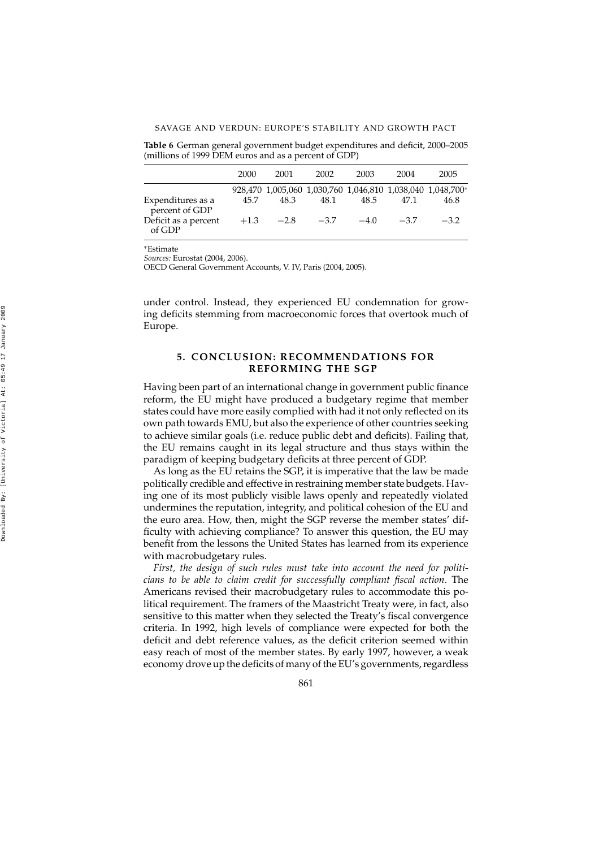#### SAVAGE AND VERDUN: EUROPE'S STABILITY AND GROWTH PACT

**Table 6** German general government budget expenditures and deficit, 2000–2005 (millions of 1999 DEM euros and as a percent of GDP)

|                                     | 2000 | 2001             | 2002 | 2003   | 2004  | 2005                                                       |
|-------------------------------------|------|------------------|------|--------|-------|------------------------------------------------------------|
|                                     |      |                  |      |        |       | 928,470 1,005,060 1,030,760 1,046,810 1,038,040 1,048,700* |
| Expenditures as a<br>percent of GDP | 45.7 | 48.3             | 48.1 | 48.5   | 47.1  | 46.8                                                       |
| Deficit as a percent<br>of GDP      |      | $+1.3 -2.8 -3.7$ |      | $-4.0$ | $-37$ | $-3.2$                                                     |

∗Estimate

*Sources:* Eurostat (2004, 2006).

OECD General Government Accounts, V. IV, Paris (2004, 2005).

under control. Instead, they experienced EU condemnation for growing deficits stemming from macroeconomic forces that overtook much of Europe.

# **5. CONCLUSION: RECOMMENDATIONS FOR REFORMING THE SGP**

Having been part of an international change in government public finance reform, the EU might have produced a budgetary regime that member states could have more easily complied with had it not only reflected on its own path towards EMU, but also the experience of other countries seeking to achieve similar goals (i.e. reduce public debt and deficits). Failing that, the EU remains caught in its legal structure and thus stays within the paradigm of keeping budgetary deficits at three percent of GDP.

As long as the EU retains the SGP, it is imperative that the law be made politically credible and effective in restraining member state budgets. Having one of its most publicly visible laws openly and repeatedly violated undermines the reputation, integrity, and political cohesion of the EU and the euro area. How, then, might the SGP reverse the member states' difficulty with achieving compliance? To answer this question, the EU may benefit from the lessons the United States has learned from its experience with macrobudgetary rules.

*First, the design of such rules must take into account the need for politicians to be able to claim credit for successfully compliant fiscal action*. The Americans revised their macrobudgetary rules to accommodate this political requirement. The framers of the Maastricht Treaty were, in fact, also sensitive to this matter when they selected the Treaty's fiscal convergence criteria. In 1992, high levels of compliance were expected for both the deficit and debt reference values, as the deficit criterion seemed within easy reach of most of the member states. By early 1997, however, a weak economy drove up the deficits of many of the EU's governments, regardless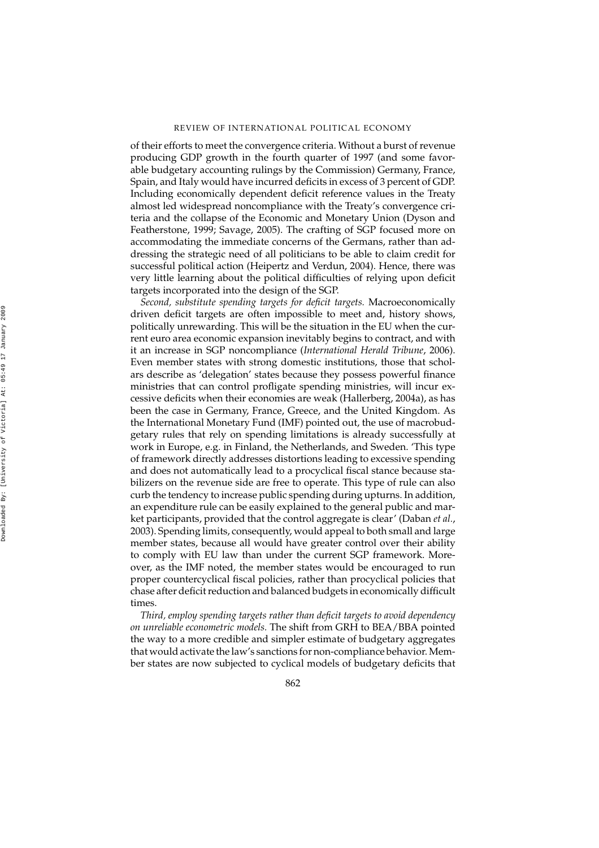### REVIEW OF INTERNATIONAL POLITICAL ECONOMY

of their efforts to meet the convergence criteria. Without a burst of revenue producing GDP growth in the fourth quarter of 1997 (and some favorable budgetary accounting rulings by the Commission) Germany, France, Spain, and Italy would have incurred deficits in excess of 3 percent of GDP. Including economically dependent deficit reference values in the Treaty almost led widespread noncompliance with the Treaty's convergence criteria and the collapse of the Economic and Monetary Union (Dyson and Featherstone, 1999; Savage, 2005). The crafting of SGP focused more on accommodating the immediate concerns of the Germans, rather than addressing the strategic need of all politicians to be able to claim credit for successful political action (Heipertz and Verdun, 2004). Hence, there was very little learning about the political difficulties of relying upon deficit targets incorporated into the design of the SGP.

*Second, substitute spending targets for deficit targets.* Macroeconomically driven deficit targets are often impossible to meet and, history shows, politically unrewarding. This will be the situation in the EU when the cur rent euro area economic expansion inevitably begins to contract, and with it an increase in SGP noncompliance (*International Herald Tribune* , 2006). Even member states with strong domestic institutions, those that scholars describe as 'delegation' states because they possess powerful finance ministries that can control profligate spending ministries, will incur excessive deficits when their economies are weak (Hallerberg, 2004a), as has been the case in Germany, France, Greece, and the United Kingdom. As the International Monetary Fund (IMF) pointed out, the use of macrobudgetary rules that rely on spending limitations is already successfully at work in Europe, e.g. in Finland, the Netherlands, and Sweden. 'This type of framework directly addresses distortions leading to excessive spending and does not automatically lead to a procyclical fiscal stance because stabilizers on the revenue side are free to operate. This type of rule can also curb the tendency to increase public spending during upturns. In addition, an expenditure rule can be easily explained to the general public and market participants, provided that the control aggregate is clear' (Daban *et al.*, 2003). Spending limits, consequently, would appeal to both small and large member states, because all would have greater control over their ability to comply with EU law than under the current SGP framework. Moreover, as the IMF noted, the member states would be encouraged to run proper countercyclical fiscal policies, rather than procyclical policies that chase after deficit reduction and balanced budgets in economically difficult times.

*Third, employ spending targets rather than deficit targets to avoid dependency on unreliable econometric models.* The shift from GRH to BEA/BBA pointed the way to a more credible and simpler estimate of budgetary aggregates that would activate the law's sanctions for non-compliance behavior. Member states are now subjected to cyclical models of budgetary deficits that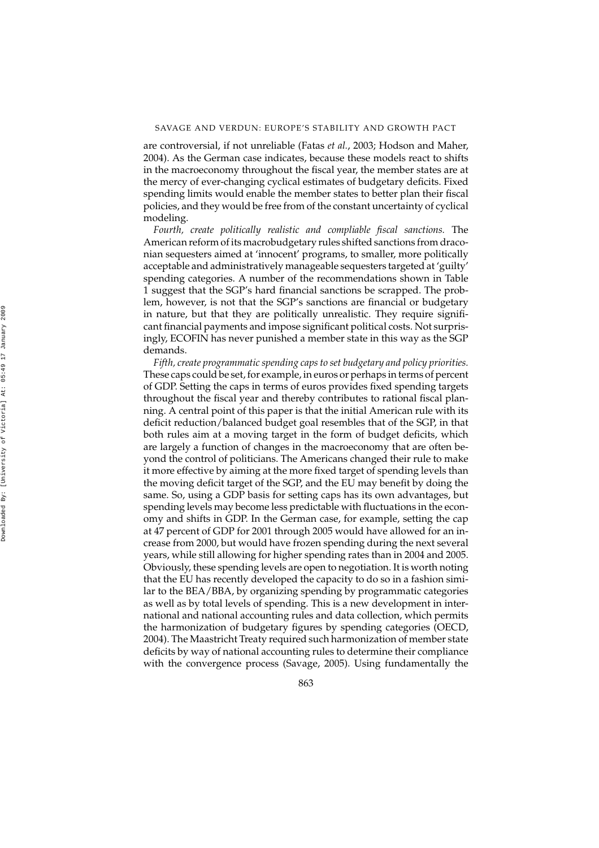### SAVAGE AND VERDUN: EUROPE'S STABILITY AND GROWTH PACT

are controversial, if not unreliable (Fatas *et al.* , 2003; Hodson and Maher, 2004). As the German case indicates, because these models react to shifts in the macroeconomy throughout the fiscal year, the member states are at the mercy of ever-changing cyclical estimates of budgetary deficits. Fixed spending limits would enable the member states to better plan their fiscal policies, and they would be free from of the constant uncertainty of cyclical modeling.

*Fourth, create politically realistic and compliable fiscal sanctions.* The American reform of its macrobudgetary rules shifted sanctions from draconian sequesters aimed at 'innocent' programs, to smaller, more politically acceptable and administratively manageable sequesters targeted at 'guilty' spending categories. A number of the recommendations shown in Table 1 suggest that the SGP's hard financial sanctions be scrapped. The problem, however, is not that the SGP's sanctions are financial or budgetary in nature, but that they are politically unrealistic. They require significant financial payments and impose significant political costs. Not surprisingly, ECOFIN has never punished a member state in this way as the SGP demands.

*Fifth, create programmatic spending caps to set budgetary and policy priorities.* These caps could be set, for example, in euros or perhaps in terms of percent of GDP. Setting the caps in terms of euros provides fixed spending targets throughout the fiscal year and thereby contributes to rational fiscal planning. A central point of this paper is that the initial American rule with its deficit reduction/balanced budget goal resembles that of the SGP, in that both rules aim at a moving target in the form of budget deficits, which are largely a function of changes in the macroeconomy that are often beyond the control of politicians. The Americans changed their rule to make it more effective by aiming at the more fixed target of spending levels than the moving deficit target of the SGP, and the EU may benefit by doing the same. So, using a GDP basis for setting caps has its own advantages, but spending levels may become less predictable with fluctuations in the economy and shifts in GDP. In the German case, for example, setting the cap at 47 percent of GDP for 2001 through 2005 would have allowed for an increase from 2000, but would have frozen spending during the next several years, while still allowing for higher spending rates than in 2004 and 2005. Obviously, these spending levels are open to negotiation. It is worth noting that the EU has recently developed the capacity to do so in a fashion similar to the BEA/BBA, by organizing spending by programmatic categories as well as by total levels of spending. This is a new development in international and national accounting rules and data collection, which permits the harmonization of budgetary figures by spending categories (OECD, 2004). The Maastricht Treaty required such harmonization of member state deficits by way of national accounting rules to determine their compliance with the convergence process (Savage, 2005). Using fundamentally the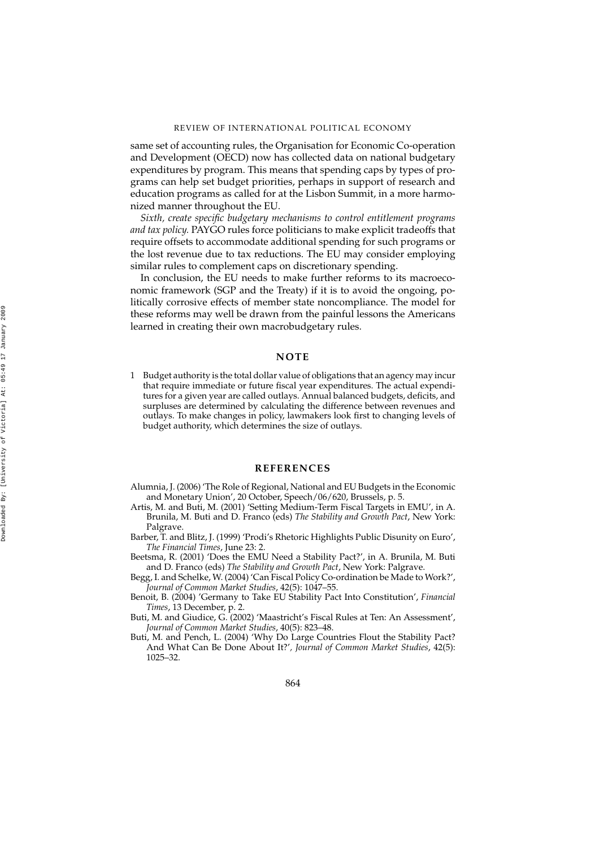same set of accounting rules, the Organisation for Economic Co-operation and Development (OECD) now has collected data on national budgetary expenditures by program. This means that spending caps by types of programs can help set budget priorities, perhaps in support of research and education programs as called for at the Lisbon Summit, in a more harmonized manner throughout the EU.

*Sixth, create specific budgetary mechanisms to control entitlement programs and tax policy.* PAYGO rules force politicians to make explicit tradeoffs that require offsets to accommodate additional spending for such programs or the lost revenue due to tax reductions. The EU may consider employing similar rules to complement caps on discretionary spending.

In conclusion, the EU needs to make further reforms to its macroeconomic framework (SGP and the Treaty) if it is to avoid the ongoing, politically corrosive effects of member state noncompliance. The model for these reforms may well be drawn from the painful lessons the Americans learned in creating their own macrobudgetary rules.

## **NOTE**

1 Budget authority is the total dollar value of obligations that an agency may incur that require immediate or future fiscal year expenditures. The actual expenditures for a given year are called outlays. Annual balanced budgets, deficits, and surpluses are determined by calculating the difference between revenues and outlays. To make changes in policy, lawmakers look first to changing levels of budget authority, which determines the size of outlays.

#### **REFERENCES**

- Alumnia, J. (2006) 'The Role of Regional, National and EU Budgets in the Economic and Monetary Union', 20 October, Speech/06/620, Brussels, p. 5.
- Artis, M. and Buti, M. (2001) 'Setting Medium-Term Fiscal Targets in EMU', in A. Brunila, M. Buti and D. Franco (eds) *The Stability and Growth Pact* , New York: Palgrave.
- Barber, T. and Blitz, J. (1999) 'Prodi's Rhetoric Highlights Public Disunity on Euro', *The Financial Times* , June 23: 2.
- Beetsma, R. (2001) 'Does the EMU Need a Stability Pact?', in A. Brunila, M. Buti and D. Franco (eds) *The Stability and Growth Pact* , New York: Palgrave.
- Begg, I. and Schelke, W. (2004) 'Can Fiscal Policy Co-ordination be Made to Work?', *Journal of Common Market Studies* , 42(5): 1047–55.
- Benoit, B. (2004) 'Germany to Take EU Stability Pact Into Constitution', *Financial Times*, 13 December, p. 2.
- Buti, M. and Giudice, G. (2002) 'Maastricht's Fiscal Rules at Ten: An Assessment', *Journal of Common Market Studies* , 40(5): 823–48.
- Buti, M. and Pench, L. (2004) 'Why Do Large Countries Flout the Stability Pact? And What Can Be Done About It?' *, Journal of Common Market Studies* , 42(5): 1025–32.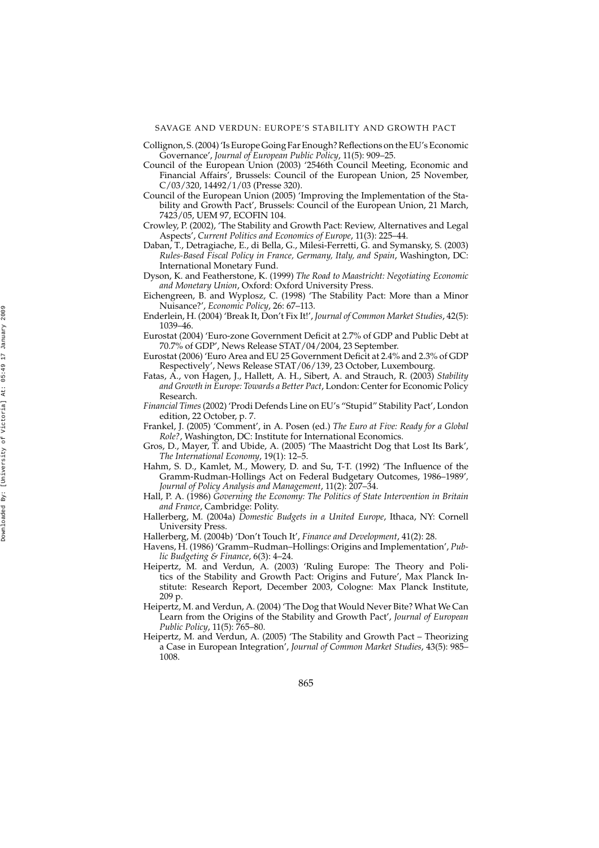- Collignon, S. (2004) 'Is Europe Going Far Enough? Reflections on the EU's Economic Governance', *Journal of European Public Policy*, 11(5): 909–25.
- Council of the European Union (2003) '2546th Council Meeting, Economic and Financial Affairs', Brussels: Council of the European Union, 25 November, C/03/320, 14492/1/03 (Presse 320).
- Council of the European Union (2005) 'Improving the Implementation of the Stability and Growth Pact', Brussels: Council of the European Union, 21 March, 7423/05, UEM 97, ECOFIN 104.
- Crowley, P. (2002), 'The Stability and Growth Pact: Review, Alternatives and Legal Aspects', *Current Politics and Economics of Europe*, 11(3): 225–44.
- Daban, T., Detragiache, E., di Bella, G., Milesi-Ferretti, G. and Symansky, S. (2003) *Rules-Based Fiscal Policy in France, Germany, Italy, and Spain*, Washington, DC: International Monetary Fund.
- Dyson, K. and Featherstone, K. (1999) *The Road to Maastricht: Negotiating Economic and Monetary Union* , Oxford: Oxford University Press.
- Eichengreen, B. and Wyplosz, C. (1998) 'The Stability Pact: More than a Minor Nuisance?', *Economic Policy* , 26: 67–113.
- Enderlein, H. (2004) 'Break It, Don't Fix It!', *Journal of Common Market Studies* , 42(5): 1039–46.
- Eurostat (2004) 'Euro-zone Government Deficit at 2.7% of GDP and Public Debt at 70.7% of GDP', News Release STAT/04/2004, 23 September.
- Eurostat (2006) 'Euro Area and EU 25 Government Deficit at 2.4% and 2.3% of GDP Respectively', News Release STAT/06/139, 23 October, Luxembourg.
- Fatas, A., von Hagen, J., Hallett, A. H., Sibert, A. and Strauch, R. (2003) *Stability and Growth in Europe: Towards a Better Pact* , London: Center for Economic Policy Research.
- *Financial Times*(2002) 'Prodi Defends Line on EU's "Stupid" Stability Pact', London edition, 22 October, p. 7.
- Frankel, J. (2005) 'Comment', in A. Posen (ed.) *The Euro at Five: Ready for a Global Role?*, Washington, DC: Institute for International Economics.
- Gros, D., Mayer, T. and Ubide, A. (2005) 'The Maastricht Dog that Lost Its Bark', *The International Economy* , 19(1): 12–5.
- Hahm, S. D., Kamlet, M., Mowery, D. and Su, T-T. (1992) 'The Influence of the Gramm-Rudman-Hollings Act on Federal Budgetary Outcomes, 1986–1989' *, Journal of Policy Analysis and Management*, 11(2): 207–34.
- Hall, P. A. (1986) *Governing the Economy: The Politics of State Intervention in Britain and France* , Cambridge: Polity.
- Hallerberg, M. (2004a) *Domestic Budgets in a United Europe* , Ithaca, NY: Cornell University Press.
- Hallerberg, M. (2004b) 'Don't Touch It', *Finance and Development* , 41(2): 28.
- Havens, H. (1986) 'Gramm–Rudman–Hollings: Origins and Implementation', *Public Budgeting & Finance*, 6(3): 4–24.
- Heipertz, M. and Verdun, A. (2003) 'Ruling Europe: The Theory and Politics of the Stability and Growth Pact: Origins and Future', Max Planck Institute: Research Report, December 2003, Cologne: Max Planck Institute, 209 p.
- Heipertz, M. and Verdun, A. (2004) 'The Dog that Would Never Bite? What We Can Learn from the Origins of the Stability and Growth Pact', *Journal of European Public Policy*, 11(5): 765–80.
- Heipertz, M. and Verdun, A. (2005) 'The Stability and Growth Pact Theorizing a Case in European Integration', *Journal of Common Market Studies*, 43(5): 985– 1008.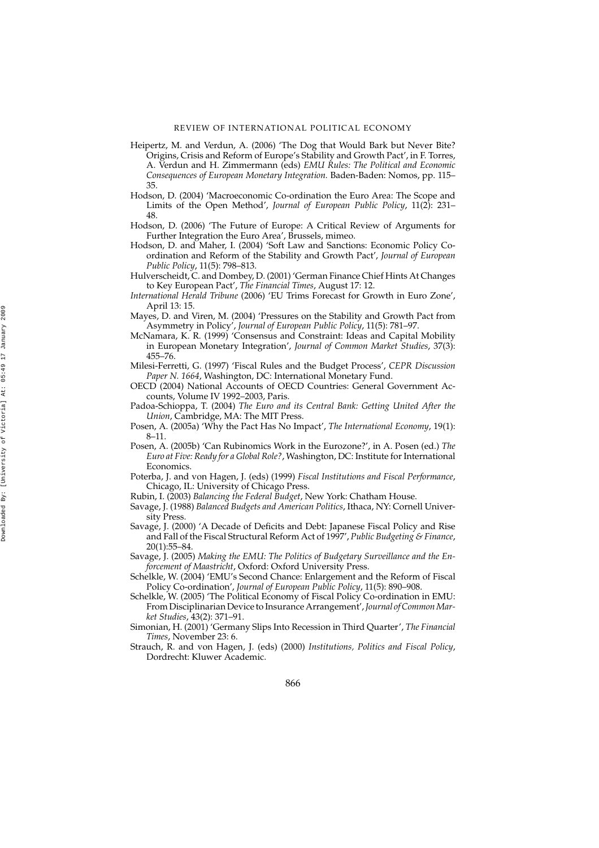- Heipertz, M. and Verdun, A. (2006) 'The Dog that Would Bark but Never Bite? Origins, Crisis and Reform of Europe's Stability and Growth Pact', in F. Torres, A. Verdun and H. Zimmermann (eds) *EMU Rules: The Political and Economic Consequences of European Monetary Integration.* Baden-Baden: Nomos, pp. 115– 35.
- Hodson, D. (2004) 'Macroeconomic Co-ordination the Euro Area: The Scope and Limits of the Open Method', *Journal of European Public Policy*, 11(2): 231– 48.
- Hodson, D. (2006) 'The Future of Europe: A Critical Review of Arguments for Further Integration the Euro Area', Brussels, mimeo.
- Hodson, D. and Maher, I. (2004) 'Soft Law and Sanctions: Economic Policy Coordination and Reform of the Stability and Growth Pact', *Journal of European Public Policy*, 11(5): 798–813.

Hulverscheidt, C. and Dombey, D. (2001) 'German Finance Chief Hints At Changes to Key European Pact', *The Financial Times* , August 17: 12.

*International Herald Tribune* (2006) 'EU Trims Forecast for Growth in Euro Zone', April 13: 15.

- Mayes, D. and Viren, M. (2004) 'Pressures on the Stability and Growth Pact from Asymmetry in Policy', *Journal of European Public Policy*, 11(5): 781–97.
- McNamara, K. R. (1999) 'Consensus and Constraint: Ideas and Capital Mobility in European Monetary Integration', *Journal of Common Market Studies* , 37(3): 455–76.

Milesi-Ferretti, G. (1997) 'Fiscal Rules and the Budget Process', *CEPR Discussion Paper N. 1664*, Washington, DC: International Monetary Fund.

OECD (2004) National Accounts of OECD Countries: General Government Accounts, Volume IV 1992–2003, Paris.

Padoa-Schioppa, T. (2004) *The Euro and its Central Bank: Getting United After the Union* , Cambridge, MA: The MIT Press.

Posen, A. (2005a) 'Why the Pact Has No Impact', *The International Economy* , 19(1): 8–11.

- Posen, A. (2005b) 'Can Rubinomics Work in the Eurozone?', in A. Posen (ed.) *The Euro at Five: Ready for a Global Role?*, Washington, DC: Institute for International Economics.
- Poterba, J. and von Hagen, J. (eds) (1999) *Fiscal Institutions and Fiscal Performance* , Chicago, IL: University of Chicago Press.
- Rubin, I. (2003) *Balancing the Federal Budget* , New York: Chatham House.
- Savage, J. (1988) *Balanced Budgets and American Politics* , Ithaca, NY: Cornell University Press.
- Savage, J. (2000) 'A Decade of Deficits and Debt: Japanese Fiscal Policy and Rise and Fall of the Fiscal Structural Reform Act of 1997', *Public Budgeting & Finance* , 20(1):55–84.

Savage, J. (2005) *Making the EMU: The Politics of Budgetary Surveillance and the Enforcement of Maastricht*, Oxford: Oxford University Press.

Schelkle, W. (2004) 'EMU's Second Chance: Enlargement and the Reform of Fiscal Policy Co-ordination', *Journal of European Public Policy*, 11(5): 890–908.

Schelkle, W. (2005) 'The Political Economy of Fiscal Policy Co-ordination in EMU: From Disciplinarian Device to Insurance Arrangement',*Journal of Common Market Studies*, 43(2): 371–91.

Simonian, H. (2001) 'Germany Slips Into Recession in Third Quarter', *The Financial Times*, November 23: 6.

Strauch, R. and von Hagen, J. (eds) (2000) *Institutions, Politics and Fiscal Policy* , Dordrecht: Kluwer Academic.